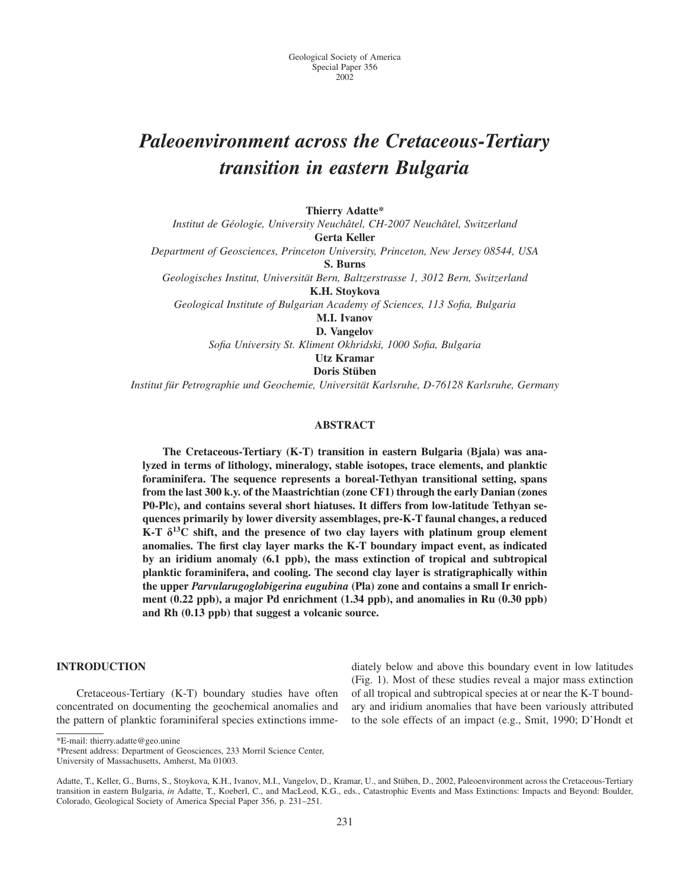# *Paleoenvironment across the Cretaceous-Tertiary transition in eastern Bulgaria*

**Thierry Adatte\***

*Institut de Ge´ologie, University Neuchaˆtel, CH-2007 Neuchaˆtel, Switzerland* **Gerta Keller** *Department of Geosciences, Princeton University, Princeton, New Jersey 08544, USA* **S. Burns**

Geologisches Institut, Universität Bern, Baltzerstrasse 1, 3012 Bern, Switzerland

**K.H. Stoykova**

*Geological Institute of Bulgarian Academy of Sciences, 113 Sofia, Bulgaria*

**M.I. Ivanov**

**D. Vangelov** *Sofia University St. Kliment Okhridski, 1000 Sofia, Bulgaria*

**Utz Kramar**

**Doris Stüben** 

*Institut fu¨r Petrographie und Geochemie, Universita¨t Karlsruhe, D-76128 Karlsruhe, Germany*

# **ABSTRACT**

**The Cretaceous-Tertiary (K-T) transition in eastern Bulgaria (Bjala) was analyzed in terms of lithology, mineralogy, stable isotopes, trace elements, and planktic foraminifera. The sequence represents a boreal-Tethyan transitional setting, spans from the last 300 k.y. of the Maastrichtian (zone CF1) through the early Danian (zones P0-Plc), and contains several short hiatuses. It differs from low-latitude Tethyan sequences primarily by lower diversity assemblages, pre-K-T faunal changes, a reduced K-T**  $\delta^{13}$ C shift, and the presence of two clay layers with platinum group element **anomalies. The first clay layer marks the K-T boundary impact event, as indicated by an iridium anomaly (6.1 ppb), the mass extinction of tropical and subtropical planktic foraminifera, and cooling. The second clay layer is stratigraphically within the upper** *Parvularugoglobigerina eugubina* **(Pla) zone and contains a small Ir enrichment (0.22 ppb), a major Pd enrichment (1.34 ppb), and anomalies in Ru (0.30 ppb) and Rh (0.13 ppb) that suggest a volcanic source.**

# **INTRODUCTION**

Cretaceous-Tertiary (K-T) boundary studies have often concentrated on documenting the geochemical anomalies and the pattern of planktic foraminiferal species extinctions immediately below and above this boundary event in low latitudes (Fig. 1). Most of these studies reveal a major mass extinction of all tropical and subtropical species at or near the K-T boundary and iridium anomalies that have been variously attributed to the sole effects of an impact (e.g., Smit, 1990; D'Hondt et

\*E-mail: thierry.adatte@geo.unine

\*Present address: Department of Geosciences, 233 Morril Science Center, University of Massachusetts, Amherst, Ma 01003.

Adatte, T., Keller, G., Burns, S., Stoykova, K.H., Ivanov, M.I., Vangelov, D., Kramar, U., and Stüben, D., 2002, Paleoenvironment across the Cretaceous-Tertiary transition in eastern Bulgaria, *in* Adatte, T., Koeberl, C., and MacLeod, K.G., eds., Catastrophic Events and Mass Extinctions: Impacts and Beyond: Boulder, Colorado, Geological Society of America Special Paper 356, p. 231–251.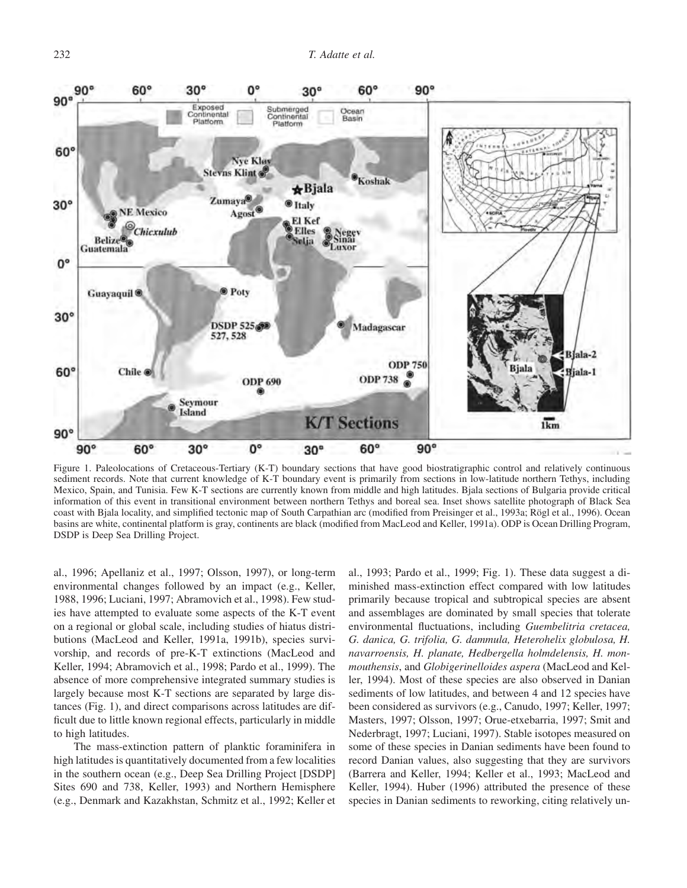

Figure 1. Paleolocations of Cretaceous-Tertiary (K-T) boundary sections that have good biostratigraphic control and relatively continuous sediment records. Note that current knowledge of K-T boundary event is primarily from sections in low-latitude northern Tethys, including Mexico, Spain, and Tunisia. Few K-T sections are currently known from middle and high latitudes. Bjala sections of Bulgaria provide critical information of this event in transitional environment between northern Tethys and boreal sea. Inset shows satellite photograph of Black Sea coast with Bjala locality, and simplified tectonic map of South Carpathian arc (modified from Preisinger et al., 1993a; Rögl et al., 1996). Ocean basins are white, continental platform is gray, continents are black (modified from MacLeod and Keller, 1991a). ODP is Ocean Drilling Program, DSDP is Deep Sea Drilling Project.

al., 1996; Apellaniz et al., 1997; Olsson, 1997), or long-term environmental changes followed by an impact (e.g., Keller, 1988, 1996; Luciani, 1997; Abramovich et al., 1998). Few studies have attempted to evaluate some aspects of the K-T event on a regional or global scale, including studies of hiatus distributions (MacLeod and Keller, 1991a, 1991b), species survivorship, and records of pre-K-T extinctions (MacLeod and Keller, 1994; Abramovich et al., 1998; Pardo et al., 1999). The absence of more comprehensive integrated summary studies is largely because most K-T sections are separated by large distances (Fig. 1), and direct comparisons across latitudes are difficult due to little known regional effects, particularly in middle to high latitudes.

The mass-extinction pattern of planktic foraminifera in high latitudes is quantitatively documented from a few localities in the southern ocean (e.g., Deep Sea Drilling Project [DSDP] Sites 690 and 738, Keller, 1993) and Northern Hemisphere (e.g., Denmark and Kazakhstan, Schmitz et al., 1992; Keller et

al., 1993; Pardo et al., 1999; Fig. 1). These data suggest a diminished mass-extinction effect compared with low latitudes primarily because tropical and subtropical species are absent and assemblages are dominated by small species that tolerate environmental fluctuations, including *Guembelitria cretacea, G. danica, G. trifolia, G. dammula, Heterohelix globulosa, H. navarroensis, H. planate, Hedbergella holmdelensis, H. monmouthensis*, and *Globigerinelloides aspera* (MacLeod and Keller, 1994). Most of these species are also observed in Danian sediments of low latitudes, and between 4 and 12 species have been considered as survivors (e.g., Canudo, 1997; Keller, 1997; Masters, 1997; Olsson, 1997; Orue-etxebarria, 1997; Smit and Nederbragt, 1997; Luciani, 1997). Stable isotopes measured on some of these species in Danian sediments have been found to record Danian values, also suggesting that they are survivors (Barrera and Keller, 1994; Keller et al., 1993; MacLeod and Keller, 1994). Huber (1996) attributed the presence of these species in Danian sediments to reworking, citing relatively un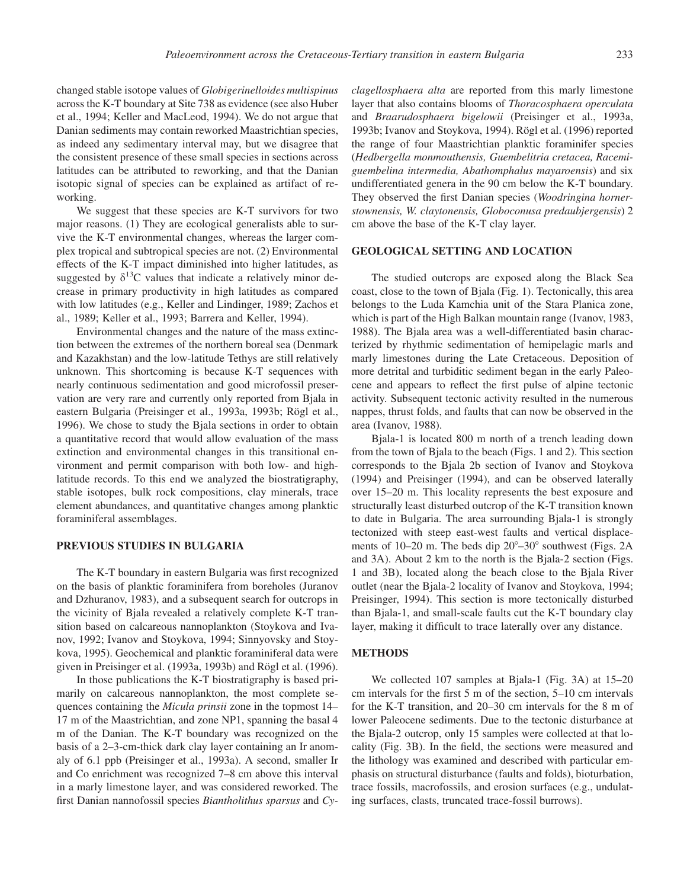changed stable isotope values of *Globigerinelloides multispinus* across the K-T boundary at Site 738 as evidence (see also Huber et al., 1994; Keller and MacLeod, 1994). We do not argue that Danian sediments may contain reworked Maastrichtian species, as indeed any sedimentary interval may, but we disagree that the consistent presence of these small species in sections across latitudes can be attributed to reworking, and that the Danian isotopic signal of species can be explained as artifact of reworking.

We suggest that these species are K-T survivors for two major reasons. (1) They are ecological generalists able to survive the K-T environmental changes, whereas the larger complex tropical and subtropical species are not. (2) Environmental effects of the K-T impact diminished into higher latitudes, as suggested by  $\delta^{13}$ C values that indicate a relatively minor decrease in primary productivity in high latitudes as compared with low latitudes (e.g., Keller and Lindinger, 1989; Zachos et al., 1989; Keller et al., 1993; Barrera and Keller, 1994).

Environmental changes and the nature of the mass extinction between the extremes of the northern boreal sea (Denmark and Kazakhstan) and the low-latitude Tethys are still relatively unknown. This shortcoming is because K-T sequences with nearly continuous sedimentation and good microfossil preservation are very rare and currently only reported from Bjala in eastern Bulgaria (Preisinger et al., 1993a, 1993b; Rögl et al., 1996). We chose to study the Bjala sections in order to obtain a quantitative record that would allow evaluation of the mass extinction and environmental changes in this transitional environment and permit comparison with both low- and highlatitude records. To this end we analyzed the biostratigraphy, stable isotopes, bulk rock compositions, clay minerals, trace element abundances, and quantitative changes among planktic foraminiferal assemblages.

# **PREVIOUS STUDIES IN BULGARIA**

The K-T boundary in eastern Bulgaria was first recognized on the basis of planktic foraminifera from boreholes (Juranov and Dzhuranov, 1983), and a subsequent search for outcrops in the vicinity of Bjala revealed a relatively complete K-T transition based on calcareous nannoplankton (Stoykova and Ivanov, 1992; Ivanov and Stoykova, 1994; Sinnyovsky and Stoykova, 1995). Geochemical and planktic foraminiferal data were given in Preisinger et al. (1993a, 1993b) and Rögl et al. (1996).

In those publications the K-T biostratigraphy is based primarily on calcareous nannoplankton, the most complete sequences containing the *Micula prinsii* zone in the topmost 14– 17 m of the Maastrichtian, and zone NP1, spanning the basal 4 m of the Danian. The K-T boundary was recognized on the basis of a 2–3-cm-thick dark clay layer containing an Ir anomaly of 6.1 ppb (Preisinger et al., 1993a). A second, smaller Ir and Co enrichment was recognized 7–8 cm above this interval in a marly limestone layer, and was considered reworked. The first Danian nannofossil species *Biantholithus sparsus* and *Cy-* *clagellosphaera alta* are reported from this marly limestone layer that also contains blooms of *Thoracosphaera operculata* and *Braarudosphaera bigelowii* (Preisinger et al., 1993a, 1993b; Ivanov and Stoykova, 1994). Rögl et al. (1996) reported the range of four Maastrichtian planktic foraminifer species (*Hedbergella monmouthensis, Guembelitria cretacea, Racemiguembelina intermedia, Abathomphalus mayaroensis*) and six undifferentiated genera in the 90 cm below the K-T boundary. They observed the first Danian species (*Woodringina hornerstownensis, W. claytonensis, Globoconusa predaubjergensis*) 2 cm above the base of the K-T clay layer.

## **GEOLOGICAL SETTING AND LOCATION**

The studied outcrops are exposed along the Black Sea coast, close to the town of Bjala (Fig. 1). Tectonically, this area belongs to the Luda Kamchia unit of the Stara Planica zone, which is part of the High Balkan mountain range (Ivanov, 1983, 1988). The Bjala area was a well-differentiated basin characterized by rhythmic sedimentation of hemipelagic marls and marly limestones during the Late Cretaceous. Deposition of more detrital and turbiditic sediment began in the early Paleocene and appears to reflect the first pulse of alpine tectonic activity. Subsequent tectonic activity resulted in the numerous nappes, thrust folds, and faults that can now be observed in the area (Ivanov, 1988).

Bjala-1 is located 800 m north of a trench leading down from the town of Bjala to the beach (Figs. 1 and 2). This section corresponds to the Bjala 2b section of Ivanov and Stoykova (1994) and Preisinger (1994), and can be observed laterally over 15–20 m. This locality represents the best exposure and structurally least disturbed outcrop of the K-T transition known to date in Bulgaria. The area surrounding Bjala-1 is strongly tectonized with steep east-west faults and vertical displacements of 10–20 m. The beds dip  $20^{\circ}$ –30° southwest (Figs. 2A and 3A). About 2 km to the north is the Bjala-2 section (Figs. 1 and 3B), located along the beach close to the Bjala River outlet (near the Bjala-2 locality of Ivanov and Stoykova, 1994; Preisinger, 1994). This section is more tectonically disturbed than Bjala-1, and small-scale faults cut the K-T boundary clay layer, making it difficult to trace laterally over any distance.

#### **METHODS**

We collected 107 samples at Bjala-1 (Fig. 3A) at 15–20 cm intervals for the first 5 m of the section, 5–10 cm intervals for the K-T transition, and 20–30 cm intervals for the 8 m of lower Paleocene sediments. Due to the tectonic disturbance at the Bjala-2 outcrop, only 15 samples were collected at that locality (Fig. 3B). In the field, the sections were measured and the lithology was examined and described with particular emphasis on structural disturbance (faults and folds), bioturbation, trace fossils, macrofossils, and erosion surfaces (e.g., undulating surfaces, clasts, truncated trace-fossil burrows).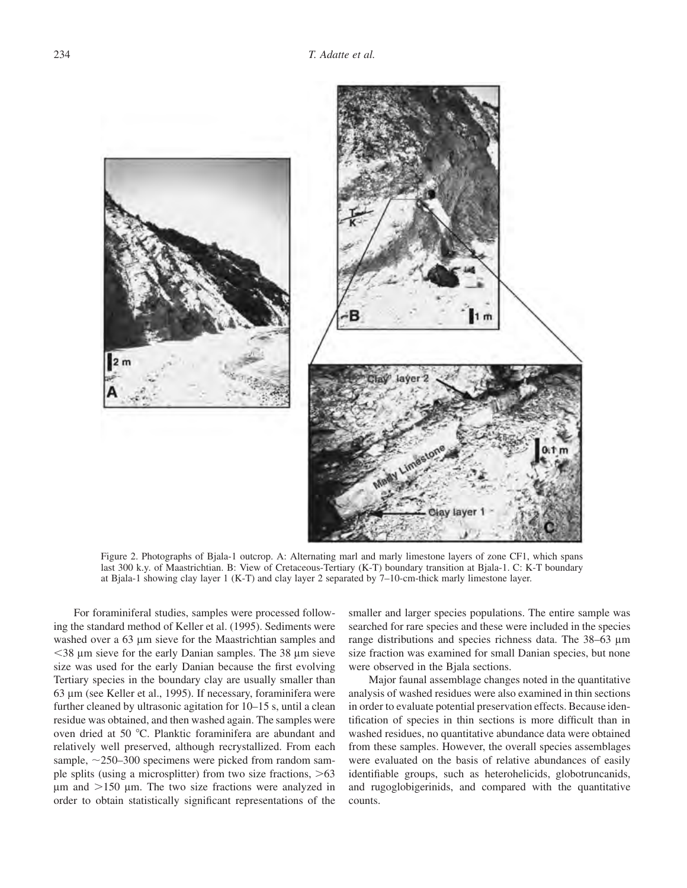

Figure 2. Photographs of Bjala-1 outcrop. A: Alternating marl and marly limestone layers of zone CF1, which spans last 300 k.y. of Maastrichtian. B: View of Cretaceous-Tertiary (K-T) boundary transition at Bjala-1. C: K-T boundary at Bjala-1 showing clay layer 1 (K-T) and clay layer 2 separated by 7–10-cm-thick marly limestone layer.

For foraminiferal studies, samples were processed following the standard method of Keller et al. (1995). Sediments were washed over a 63 µm sieve for the Maastrichtian samples and  $<$ 38  $\mu$ m sieve for the early Danian samples. The 38  $\mu$ m sieve size was used for the early Danian because the first evolving Tertiary species in the boundary clay are usually smaller than 63 lm (see Keller et al., 1995). If necessary, foraminifera were further cleaned by ultrasonic agitation for 10–15 s, until a clean residue was obtained, and then washed again. The samples were oven dried at 50 °C. Planktic foraminifera are abundant and relatively well preserved, although recrystallized. From each sample,  $\sim$ 250–300 specimens were picked from random sample splits (using a microsplitter) from two size fractions,  $>63$  $\mu$ m and  $>$ 150  $\mu$ m. The two size fractions were analyzed in order to obtain statistically significant representations of the

smaller and larger species populations. The entire sample was searched for rare species and these were included in the species range distributions and species richness data. The 38–63 µm size fraction was examined for small Danian species, but none were observed in the Bjala sections.

Major faunal assemblage changes noted in the quantitative analysis of washed residues were also examined in thin sections in order to evaluate potential preservation effects. Because identification of species in thin sections is more difficult than in washed residues, no quantitative abundance data were obtained from these samples. However, the overall species assemblages were evaluated on the basis of relative abundances of easily identifiable groups, such as heterohelicids, globotruncanids, and rugoglobigerinids, and compared with the quantitative counts.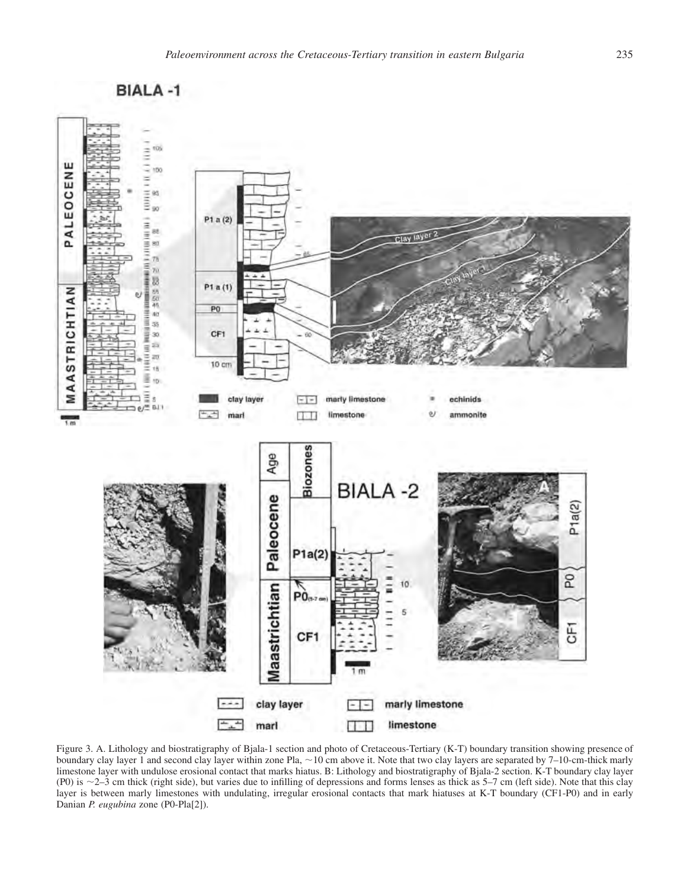



Figure 3. A. Lithology and biostratigraphy of Bjala-1 section and photo of Cretaceous-Tertiary (K-T) boundary transition showing presence of boundary clay layer 1 and second clay layer within zone Pla,  $\sim$  10 cm above it. Note that two clay layers are separated by 7–10-cm-thick marly limestone layer with undulose erosional contact that marks hiatus. B: Lithology and biostratigraphy of Bjala-2 section. K-T boundary clay layer (P0) is 2–3 cm thick (right side), but varies due to infilling of depressions and forms lenses as thick as 5–7 cm (left side). Note that this clay layer is between marly limestones with undulating, irregular erosional contacts that mark hiatuses at K-T boundary (CF1-P0) and in early Danian *P. eugubina* zone (P0-Pla[2]).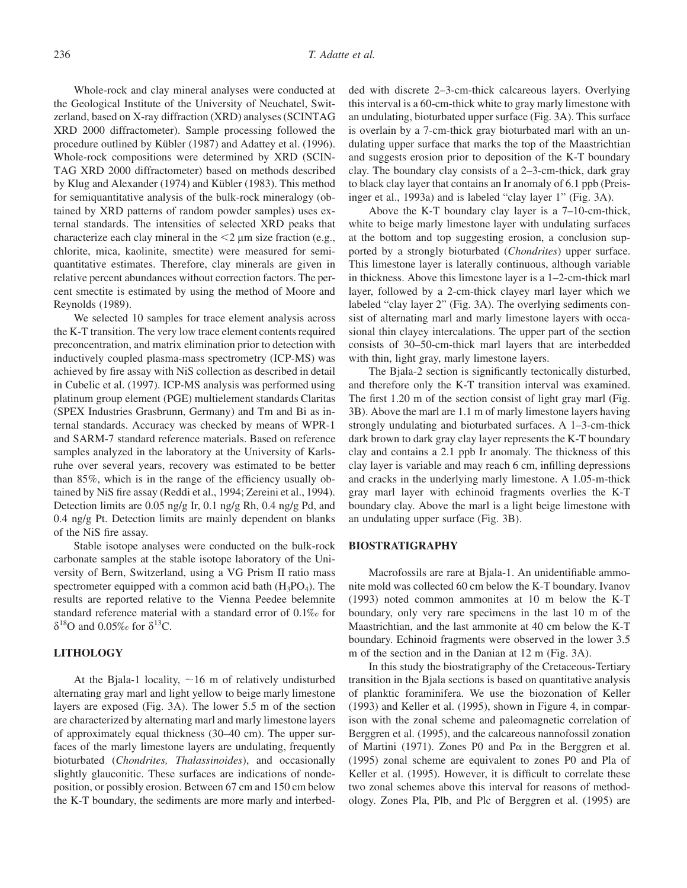Whole-rock and clay mineral analyses were conducted at the Geological Institute of the University of Neuchatel, Switzerland, based on X-ray diffraction (XRD) analyses (SCINTAG XRD 2000 diffractometer). Sample processing followed the procedure outlined by Kübler (1987) and Adattey et al. (1996). Whole-rock compositions were determined by XRD (SCIN-TAG XRD 2000 diffractometer) based on methods described by Klug and Alexander (1974) and Kübler (1983). This method for semiquantitative analysis of the bulk-rock mineralogy (obtained by XRD patterns of random powder samples) uses external standards. The intensities of selected XRD peaks that characterize each clay mineral in the  $\leq 2 \mu$ m size fraction (e.g., chlorite, mica, kaolinite, smectite) were measured for semiquantitative estimates. Therefore, clay minerals are given in relative percent abundances without correction factors. The percent smectite is estimated by using the method of Moore and Reynolds (1989).

We selected 10 samples for trace element analysis across the K-T transition. The very low trace element contents required preconcentration, and matrix elimination prior to detection with inductively coupled plasma-mass spectrometry (ICP-MS) was achieved by fire assay with NiS collection as described in detail in Cubelic et al. (1997). ICP-MS analysis was performed using platinum group element (PGE) multielement standards Claritas (SPEX Industries Grasbrunn, Germany) and Tm and Bi as internal standards. Accuracy was checked by means of WPR-1 and SARM-7 standard reference materials. Based on reference samples analyzed in the laboratory at the University of Karlsruhe over several years, recovery was estimated to be better than 85%, which is in the range of the efficiency usually obtained by NiS fire assay (Reddi et al., 1994; Zereini et al., 1994). Detection limits are 0.05 ng/g Ir, 0.1 ng/g Rh, 0.4 ng/g Pd, and 0.4 ng/g Pt. Detection limits are mainly dependent on blanks of the NiS fire assay.

Stable isotope analyses were conducted on the bulk-rock carbonate samples at the stable isotope laboratory of the University of Bern, Switzerland, using a VG Prism II ratio mass spectrometer equipped with a common acid bath  $(H_3PO_4)$ . The results are reported relative to the Vienna Peedee belemnite standard reference material with a standard error of 0.1‰ for  $\delta^{18}$ O and 0.05‰ for  $\delta^{13}$ C.

# **LITHOLOGY**

At the Bjala-1 locality,  $\sim 16$  m of relatively undisturbed alternating gray marl and light yellow to beige marly limestone layers are exposed (Fig. 3A). The lower 5.5 m of the section are characterized by alternating marl and marly limestone layers of approximately equal thickness (30–40 cm). The upper surfaces of the marly limestone layers are undulating, frequently bioturbated (*Chondrites, Thalassinoides*), and occasionally slightly glauconitic. These surfaces are indications of nondeposition, or possibly erosion. Between 67 cm and 150 cm below the K-T boundary, the sediments are more marly and interbedded with discrete 2–3-cm-thick calcareous layers. Overlying this interval is a 60-cm-thick white to gray marly limestone with an undulating, bioturbated upper surface (Fig. 3A). This surface is overlain by a 7-cm-thick gray bioturbated marl with an undulating upper surface that marks the top of the Maastrichtian and suggests erosion prior to deposition of the K-T boundary clay. The boundary clay consists of a 2–3-cm-thick, dark gray to black clay layer that contains an Ir anomaly of 6.1 ppb (Preisinger et al., 1993a) and is labeled "clay layer 1" (Fig. 3A).

Above the K-T boundary clay layer is a 7–10-cm-thick, white to beige marly limestone layer with undulating surfaces at the bottom and top suggesting erosion, a conclusion supported by a strongly bioturbated (*Chondrites*) upper surface. This limestone layer is laterally continuous, although variable in thickness. Above this limestone layer is a 1–2-cm-thick marl layer, followed by a 2-cm-thick clayey marl layer which we labeled "clay layer 2" (Fig. 3A). The overlying sediments consist of alternating marl and marly limestone layers with occasional thin clayey intercalations. The upper part of the section consists of 30–50-cm-thick marl layers that are interbedded with thin, light gray, marly limestone layers.

The Bjala-2 section is significantly tectonically disturbed, and therefore only the K-T transition interval was examined. The first 1.20 m of the section consist of light gray marl (Fig. 3B). Above the marl are 1.1 m of marly limestone layers having strongly undulating and bioturbated surfaces. A 1–3-cm-thick dark brown to dark gray clay layer represents the K-T boundary clay and contains a 2.1 ppb Ir anomaly. The thickness of this clay layer is variable and may reach 6 cm, infilling depressions and cracks in the underlying marly limestone. A 1.05-m-thick gray marl layer with echinoid fragments overlies the K-T boundary clay. Above the marl is a light beige limestone with an undulating upper surface (Fig. 3B).

#### **BIOSTRATIGRAPHY**

Macrofossils are rare at Bjala-1. An unidentifiable ammonite mold was collected 60 cm below the K-T boundary. Ivanov (1993) noted common ammonites at 10 m below the K-T boundary, only very rare specimens in the last 10 m of the Maastrichtian, and the last ammonite at 40 cm below the K-T boundary. Echinoid fragments were observed in the lower 3.5 m of the section and in the Danian at 12 m (Fig. 3A).

In this study the biostratigraphy of the Cretaceous-Tertiary transition in the Bjala sections is based on quantitative analysis of planktic foraminifera. We use the biozonation of Keller (1993) and Keller et al. (1995), shown in Figure 4, in comparison with the zonal scheme and paleomagnetic correlation of Berggren et al. (1995), and the calcareous nannofossil zonation of Martini (1971). Zones P0 and P $\alpha$  in the Berggren et al. (1995) zonal scheme are equivalent to zones P0 and Pla of Keller et al. (1995). However, it is difficult to correlate these two zonal schemes above this interval for reasons of methodology. Zones Pla, Plb, and Plc of Berggren et al. (1995) are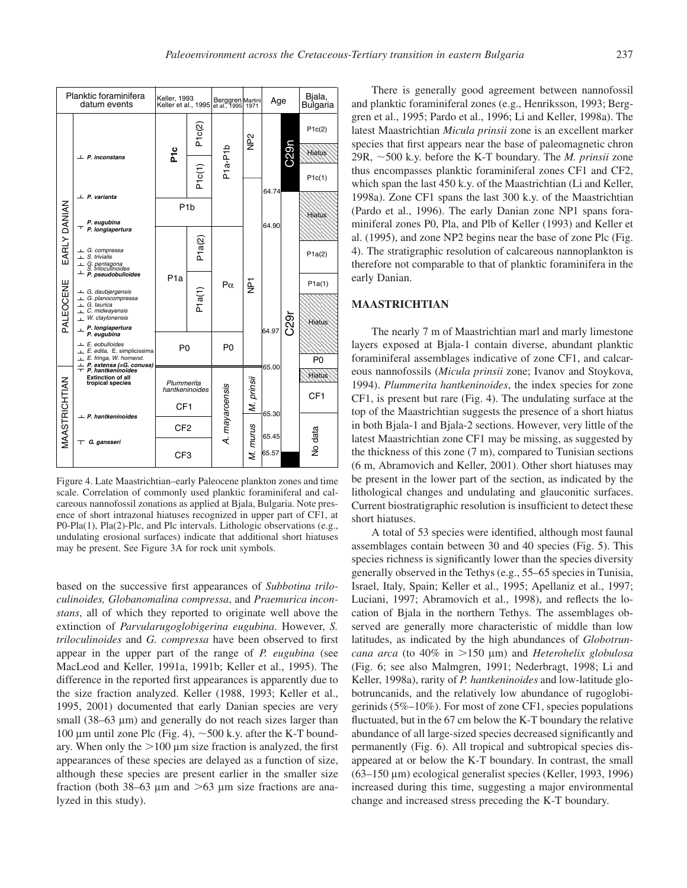

Figure 4. Late Maastrichtian–early Paleocene plankton zones and time scale. Correlation of commonly used planktic foraminiferal and calcareous nannofossil zonations as applied at Bjala, Bulgaria. Note presence of short intrazonal hiatuses recognized in upper part of CF1, at P0-Pla(1), Pla(2)-Plc, and Plc intervals. Lithologic observations (e.g., undulating erosional surfaces) indicate that additional short hiatuses may be present. See Figure 3A for rock unit symbols.

based on the successive first appearances of *Subbotina triloculinoides, Globanomalina compressa*, and *Praemurica inconstans*, all of which they reported to originate well above the extinction of *Parvularugoglobigerina eugubina*. However, *S. triloculinoides* and *G. compressa* have been observed to first appear in the upper part of the range of *P. eugubina* (see MacLeod and Keller, 1991a, 1991b; Keller et al., 1995). The difference in the reported first appearances is apparently due to the size fraction analyzed. Keller (1988, 1993; Keller et al., 1995, 2001) documented that early Danian species are very small  $(38-63 \mu m)$  and generally do not reach sizes larger than 100 µm until zone Plc (Fig. 4),  $\sim$  500 k.y. after the K-T boundary. When only the  $>100 \mu m$  size fraction is analyzed, the first appearances of these species are delayed as a function of size, although these species are present earlier in the smaller size fraction (both 38–63  $\mu$ m and  $>63 \mu$ m size fractions are analyzed in this study).

There is generally good agreement between nannofossil and planktic foraminiferal zones (e.g., Henriksson, 1993; Berggren et al., 1995; Pardo et al., 1996; Li and Keller, 1998a). The latest Maastrichtian *Micula prinsii* zone is an excellent marker species that first appears near the base of paleomagnetic chron 29R,  $\sim$ 500 k.y. before the K-T boundary. The *M. prinsii* zone thus encompasses planktic foraminiferal zones CF1 and CF2, which span the last 450 k.y. of the Maastrichtian (Li and Keller, 1998a). Zone CF1 spans the last 300 k.y. of the Maastrichtian (Pardo et al., 1996). The early Danian zone NP1 spans foraminiferal zones P0, Pla, and Plb of Keller (1993) and Keller et al. (1995), and zone NP2 begins near the base of zone Plc (Fig. 4). The stratigraphic resolution of calcareous nannoplankton is therefore not comparable to that of planktic foraminifera in the early Danian.

# **MAASTRICHTIAN**

The nearly 7 m of Maastrichtian marl and marly limestone layers exposed at Bjala-1 contain diverse, abundant planktic foraminiferal assemblages indicative of zone CF1, and calcareous nannofossils (*Micula prinsii* zone; Ivanov and Stoykova, 1994). *Plummerita hantkeninoides*, the index species for zone CF1, is present but rare (Fig. 4). The undulating surface at the top of the Maastrichtian suggests the presence of a short hiatus in both Bjala-1 and Bjala-2 sections. However, very little of the latest Maastrichtian zone CF1 may be missing, as suggested by the thickness of this zone (7 m), compared to Tunisian sections (6 m, Abramovich and Keller, 2001). Other short hiatuses may be present in the lower part of the section, as indicated by the lithological changes and undulating and glauconitic surfaces. Current biostratigraphic resolution is insufficient to detect these short hiatuses.

A total of 53 species were identified, although most faunal assemblages contain between 30 and 40 species (Fig. 5). This species richness is significantly lower than the species diversity generally observed in the Tethys (e.g., 55–65 species in Tunisia, Israel, Italy, Spain; Keller et al., 1995; Apellaniz et al., 1997; Luciani, 1997; Abramovich et al., 1998), and reflects the location of Bjala in the northern Tethys. The assemblages observed are generally more characteristic of middle than low latitudes, as indicated by the high abundances of *Globotruncana arca* (to 40% in  $>150 \mu m$ ) and *Heterohelix globulosa* (Fig. 6; see also Malmgren, 1991; Nederbragt, 1998; Li and Keller, 1998a), rarity of *P. hantkeninoides* and low-latitude globotruncanids, and the relatively low abundance of rugoglobigerinids (5%–10%). For most of zone CF1, species populations fluctuated, but in the 67 cm below the K-T boundary the relative abundance of all large-sized species decreased significantly and permanently (Fig. 6). All tropical and subtropical species disappeared at or below the K-T boundary. In contrast, the small  $(63-150 \,\mu m)$  ecological generalist species (Keller, 1993, 1996) increased during this time, suggesting a major environmental change and increased stress preceding the K-T boundary.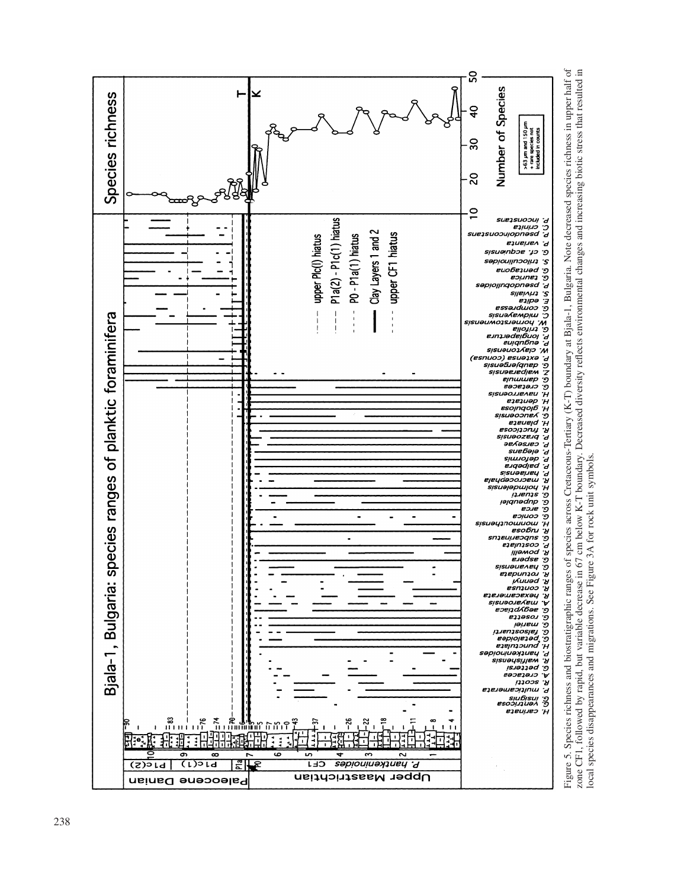

Figure 5. Species richness and biostratigraphic ranges of species across Cretaceous-Tertiary (K-T) boundary at Bjala-1, Bulgaria. Note decreased species richness in upper half of<br>zone CF1, followed by rapid, but variable d Figure 5. Species richness and biostratigraphic ranges of species across Cretaceous-Tertiary (K-T) boundary at Bjala-1, Bulgaria. Note decreased species richness in upper half of zone CF1, followed by rapid, but variable decrease in 67 cm below K-T boundary. Decreased diversity reflects environmental changes and increasing biotic stress that resulted in local species disappearances and migrations. See Figure 3A for rock unit symbols.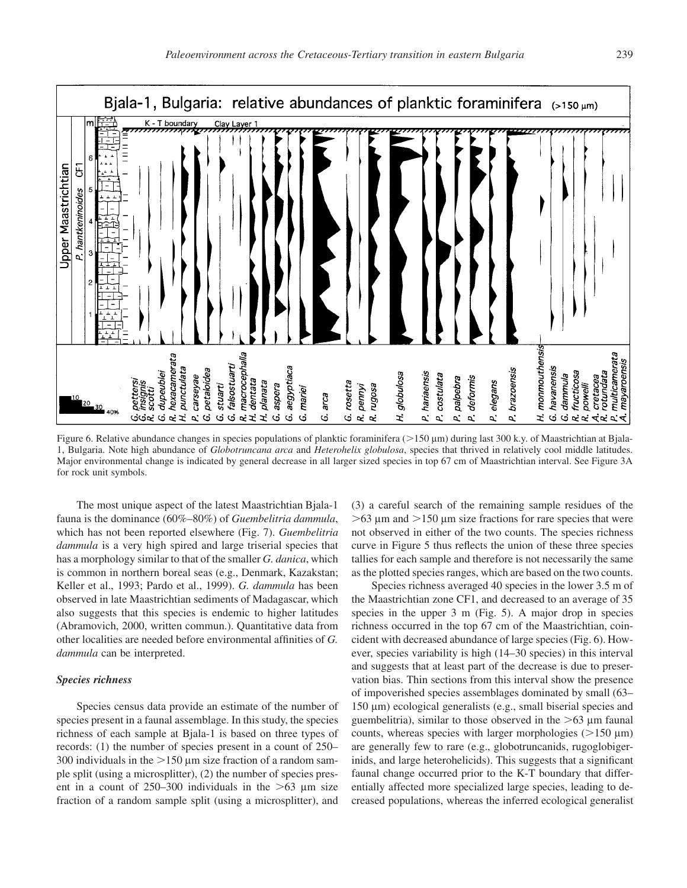

Figure 6. Relative abundance changes in species populations of planktic foraminifera (>150 µm) during last 300 k.y. of Maastrichtian at Bjala-1, Bulgaria. Note high abundance of *Globotruncana arca* and *Heterohelix globulosa*, species that thrived in relatively cool middle latitudes. Major environmental change is indicated by general decrease in all larger sized species in top 67 cm of Maastrichtian interval. See Figure 3A for rock unit symbols.

The most unique aspect of the latest Maastrichtian Bjala-1 fauna is the dominance (60%–80%) of *Guembelitria dammula*, which has not been reported elsewhere (Fig. 7). *Guembelitria dammula* is a very high spired and large triserial species that has a morphology similar to that of the smaller *G. danica*, which is common in northern boreal seas (e.g., Denmark, Kazakstan; Keller et al., 1993; Pardo et al., 1999). *G. dammula* has been observed in late Maastrichtian sediments of Madagascar, which also suggests that this species is endemic to higher latitudes (Abramovich, 2000, written commun.). Quantitative data from other localities are needed before environmental affinities of *G. dammula* can be interpreted.

#### *Species richness*

Species census data provide an estimate of the number of species present in a faunal assemblage. In this study, the species richness of each sample at Bjala-1 is based on three types of records: (1) the number of species present in a count of 250– 300 individuals in the  $>150 \mu m$  size fraction of a random sample split (using a microsplitter), (2) the number of species present in a count of  $250-300$  individuals in the  $>63$  µm size fraction of a random sample split (using a microsplitter), and (3) a careful search of the remaining sample residues of the  $>63$  µm and  $>150$  µm size fractions for rare species that were not observed in either of the two counts. The species richness curve in Figure 5 thus reflects the union of these three species tallies for each sample and therefore is not necessarily the same as the plotted species ranges, which are based on the two counts.

Species richness averaged 40 species in the lower 3.5 m of the Maastrichtian zone CF1, and decreased to an average of 35 species in the upper 3 m (Fig. 5). A major drop in species richness occurred in the top 67 cm of the Maastrichtian, coincident with decreased abundance of large species (Fig. 6). However, species variability is high (14–30 species) in this interval and suggests that at least part of the decrease is due to preservation bias. Thin sections from this interval show the presence of impoverished species assemblages dominated by small (63– 150 µm) ecological generalists (e.g., small biserial species and guembelitria), similar to those observed in the  $>63 \mu m$  faunal counts, whereas species with larger morphologies ( $>150 \mu m$ ) are generally few to rare (e.g., globotruncanids, rugoglobigerinids, and large heterohelicids). This suggests that a significant faunal change occurred prior to the K-T boundary that differentially affected more specialized large species, leading to decreased populations, whereas the inferred ecological generalist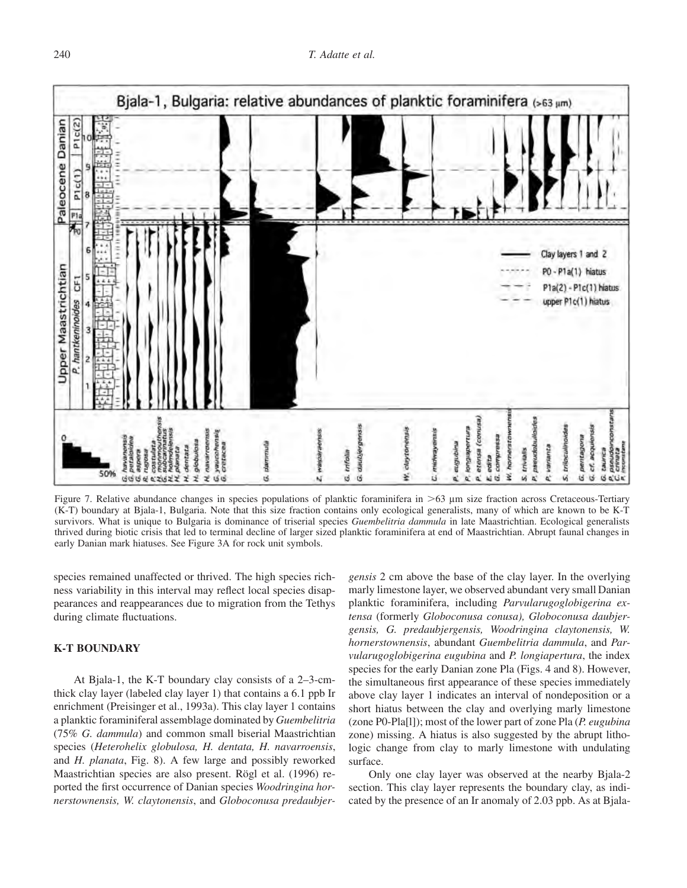

Figure 7. Relative abundance changes in species populations of planktic foraminifera in  $>63 \mu m$  size fraction across Cretaceous-Tertiary (K-T) boundary at Bjala-1, Bulgaria. Note that this size fraction contains only ecological generalists, many of which are known to be K-T survivors. What is unique to Bulgaria is dominance of triserial species *Guembelitria dammula* in late Maastrichtian. Ecological generalists thrived during biotic crisis that led to terminal decline of larger sized planktic foraminifera at end of Maastrichtian. Abrupt faunal changes in early Danian mark hiatuses. See Figure 3A for rock unit symbols.

species remained unaffected or thrived. The high species richness variability in this interval may reflect local species disappearances and reappearances due to migration from the Tethys during climate fluctuations.

# **K-T BOUNDARY**

At Bjala-1, the K-T boundary clay consists of a 2–3-cmthick clay layer (labeled clay layer 1) that contains a 6.1 ppb Ir enrichment (Preisinger et al., 1993a). This clay layer 1 contains a planktic foraminiferal assemblage dominated by *Guembelitria* (75% *G. dammula*) and common small biserial Maastrichtian species (*Heterohelix globulosa, H. dentata, H. navarroensis*, and *H. planata*, Fig. 8). A few large and possibly reworked Maastrichtian species are also present. Rögl et al. (1996) reported the first occurrence of Danian species *Woodringina hornerstownensis, W. claytonensis*, and *Globoconusa predaubjer-* *gensis* 2 cm above the base of the clay layer. In the overlying marly limestone layer, we observed abundant very small Danian planktic foraminifera, including *Parvularugoglobigerina extensa* (formerly *Globoconusa conusa), Globoconusa daubjergensis, G. predaubjergensis, Woodringina claytonensis, W. hornerstownensis*, abundant *Guembelitria dammula*, and *Parvularugoglobigerina eugubina* and *P. longiapertura*, the index species for the early Danian zone Pla (Figs. 4 and 8). However, the simultaneous first appearance of these species immediately above clay layer 1 indicates an interval of nondeposition or a short hiatus between the clay and overlying marly limestone (zone P0-Pla[l]); most of the lower part of zone Pla (*P. eugubina* zone) missing. A hiatus is also suggested by the abrupt lithologic change from clay to marly limestone with undulating surface.

Only one clay layer was observed at the nearby Bjala-2 section. This clay layer represents the boundary clay, as indicated by the presence of an Ir anomaly of 2.03 ppb. As at Bjala-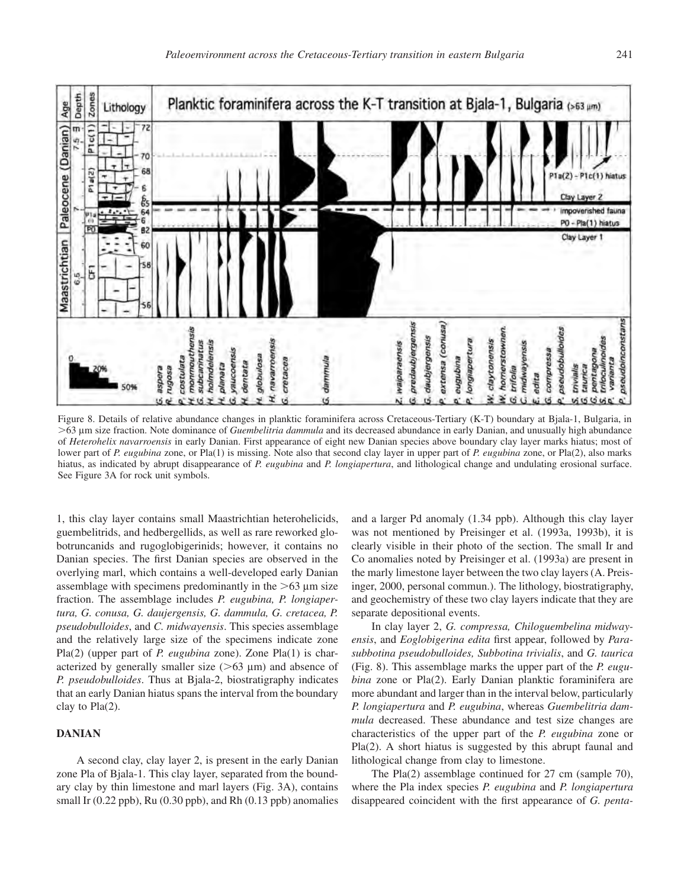

Figure 8. Details of relative abundance changes in planktic foraminifera across Cretaceous-Tertiary (K-T) boundary at Bjala-1, Bulgaria, in 63 lm size fraction. Note dominance of *Guembelitria dammula* and its decreased abundance in early Danian, and unusually high abundance of *Heterohelix navarroensis* in early Danian. First appearance of eight new Danian species above boundary clay layer marks hiatus; most of lower part of *P. eugubina* zone, or Pla(1) is missing. Note also that second clay layer in upper part of *P. eugubina* zone, or Pla(2), also marks hiatus, as indicated by abrupt disappearance of *P. eugubina* and *P. longiapertura*, and lithological change and undulating erosional surface. See Figure 3A for rock unit symbols.

1, this clay layer contains small Maastrichtian heterohelicids, guembelitrids, and hedbergellids, as well as rare reworked globotruncanids and rugoglobigerinids; however, it contains no Danian species. The first Danian species are observed in the overlying marl, which contains a well-developed early Danian assemblage with specimens predominantly in the  $>63 \mu m$  size fraction. The assemblage includes *P. eugubina, P. longiapertura, G. conusa, G. daujergensis, G. dammula, G. cretacea, P. pseudobulloides*, and *C. midwayensis*. This species assemblage and the relatively large size of the specimens indicate zone Pla(2) (upper part of *P. eugubina* zone). Zone Pla(1) is characterized by generally smaller size  $(>63 \mu m)$  and absence of *P. pseudobulloides*. Thus at Bjala-2, biostratigraphy indicates that an early Danian hiatus spans the interval from the boundary clay to Pla(2).

# **DANIAN**

A second clay, clay layer 2, is present in the early Danian zone Pla of Bjala-1. This clay layer, separated from the boundary clay by thin limestone and marl layers (Fig. 3A), contains small Ir  $(0.22$  ppb), Ru  $(0.30$  ppb), and Rh  $(0.13$  ppb) anomalies and a larger Pd anomaly (1.34 ppb). Although this clay layer was not mentioned by Preisinger et al. (1993a, 1993b), it is clearly visible in their photo of the section. The small Ir and Co anomalies noted by Preisinger et al. (1993a) are present in the marly limestone layer between the two clay layers (A. Preisinger, 2000, personal commun.). The lithology, biostratigraphy, and geochemistry of these two clay layers indicate that they are separate depositional events.

In clay layer 2, *G. compressa, Chiloguembelina midwayensis*, and *Eoglobigerina edita* first appear, followed by *Parasubbotina pseudobulloides, Subbotina trivialis*, and *G. taurica* (Fig. 8). This assemblage marks the upper part of the *P. eugubina* zone or Pla(2). Early Danian planktic foraminifera are more abundant and larger than in the interval below, particularly *P. longiapertura* and *P. eugubina*, whereas *Guembelitria dammula* decreased. These abundance and test size changes are characteristics of the upper part of the *P. eugubina* zone or Pla(2). A short hiatus is suggested by this abrupt faunal and lithological change from clay to limestone.

The Pla(2) assemblage continued for 27 cm (sample 70), where the Pla index species *P. eugubina* and *P. longiapertura* disappeared coincident with the first appearance of *G. penta-*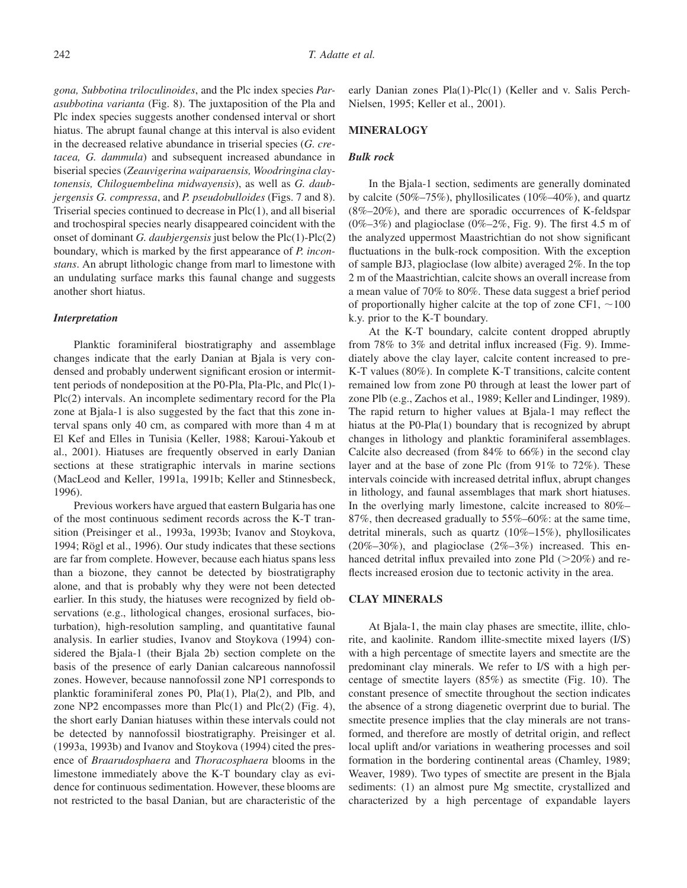*gona, Subbotina triloculinoides*, and the Plc index species *Parasubbotina varianta* (Fig. 8). The juxtaposition of the Pla and Plc index species suggests another condensed interval or short hiatus. The abrupt faunal change at this interval is also evident in the decreased relative abundance in triserial species (*G. cretacea, G. dammula*) and subsequent increased abundance in biserial species (*Zeauvigerina waiparaensis, Woodringina claytonensis, Chiloguembelina midwayensis*), as well as *G. daubjergensis G. compressa*, and *P. pseudobulloides* (Figs. 7 and 8). Triserial species continued to decrease in Plc(1), and all biserial and trochospiral species nearly disappeared coincident with the onset of dominant *G. daubjergensis* just below the Plc(1)-Plc(2) boundary, which is marked by the first appearance of *P. inconstans*. An abrupt lithologic change from marl to limestone with an undulating surface marks this faunal change and suggests another short hiatus.

#### *Interpretation*

Planktic foraminiferal biostratigraphy and assemblage changes indicate that the early Danian at Bjala is very condensed and probably underwent significant erosion or intermittent periods of nondeposition at the P0-Pla, Pla-Plc, and Plc(1)- Plc(2) intervals. An incomplete sedimentary record for the Pla zone at Bjala-1 is also suggested by the fact that this zone interval spans only 40 cm, as compared with more than 4 m at El Kef and Elles in Tunisia (Keller, 1988; Karoui-Yakoub et al., 2001). Hiatuses are frequently observed in early Danian sections at these stratigraphic intervals in marine sections (MacLeod and Keller, 1991a, 1991b; Keller and Stinnesbeck, 1996).

Previous workers have argued that eastern Bulgaria has one of the most continuous sediment records across the K-T transition (Preisinger et al., 1993a, 1993b; Ivanov and Stoykova, 1994; Rögl et al., 1996). Our study indicates that these sections are far from complete. However, because each hiatus spans less than a biozone, they cannot be detected by biostratigraphy alone, and that is probably why they were not been detected earlier. In this study, the hiatuses were recognized by field observations (e.g., lithological changes, erosional surfaces, bioturbation), high-resolution sampling, and quantitative faunal analysis. In earlier studies, Ivanov and Stoykova (1994) considered the Bjala-1 (their Bjala 2b) section complete on the basis of the presence of early Danian calcareous nannofossil zones. However, because nannofossil zone NP1 corresponds to planktic foraminiferal zones P0, Pla(1), Pla(2), and Plb, and zone NP2 encompasses more than  $Pic(1)$  and  $Pic(2)$  (Fig. 4), the short early Danian hiatuses within these intervals could not be detected by nannofossil biostratigraphy. Preisinger et al. (1993a, 1993b) and Ivanov and Stoykova (1994) cited the presence of *Braarudosphaera* and *Thoracosphaera* blooms in the limestone immediately above the K-T boundary clay as evidence for continuous sedimentation. However, these blooms are not restricted to the basal Danian, but are characteristic of the

early Danian zones Pla(1)-Plc(1) (Keller and v. Salis Perch-Nielsen, 1995; Keller et al., 2001).

# **MINERALOGY**

#### *Bulk rock*

In the Bjala-1 section, sediments are generally dominated by calcite (50%–75%), phyllosilicates (10%–40%), and quartz (8%–20%), and there are sporadic occurrences of K-feldspar  $(0\%-3\%)$  and plagioclase  $(0\%-2\%)$ , Fig. 9). The first 4.5 m of the analyzed uppermost Maastrichtian do not show significant fluctuations in the bulk-rock composition. With the exception of sample BJ3, plagioclase (low albite) averaged 2%. In the top 2 m of the Maastrichtian, calcite shows an overall increase from a mean value of 70% to 80%. These data suggest a brief period of proportionally higher calcite at the top of zone CF1,  $\sim$ 100 k.y. prior to the K-T boundary.

At the K-T boundary, calcite content dropped abruptly from 78% to 3% and detrital influx increased (Fig. 9). Immediately above the clay layer, calcite content increased to pre-K-T values (80%). In complete K-T transitions, calcite content remained low from zone P0 through at least the lower part of zone Plb (e.g., Zachos et al., 1989; Keller and Lindinger, 1989). The rapid return to higher values at Bjala-1 may reflect the hiatus at the P0-Pla(1) boundary that is recognized by abrupt changes in lithology and planktic foraminiferal assemblages. Calcite also decreased (from 84% to 66%) in the second clay layer and at the base of zone Plc (from 91% to 72%). These intervals coincide with increased detrital influx, abrupt changes in lithology, and faunal assemblages that mark short hiatuses. In the overlying marly limestone, calcite increased to 80%– 87%, then decreased gradually to 55%–60%: at the same time, detrital minerals, such as quartz (10%–15%), phyllosilicates  $(20\%-30\%)$ , and plagioclase  $(2\%-3\%)$  increased. This enhanced detrital influx prevailed into zone Pld  $(>20\%)$  and reflects increased erosion due to tectonic activity in the area.

#### **CLAY MINERALS**

At Bjala-1, the main clay phases are smectite, illite, chlorite, and kaolinite. Random illite-smectite mixed layers (I/S) with a high percentage of smectite layers and smectite are the predominant clay minerals. We refer to I/S with a high percentage of smectite layers (85%) as smectite (Fig. 10). The constant presence of smectite throughout the section indicates the absence of a strong diagenetic overprint due to burial. The smectite presence implies that the clay minerals are not transformed, and therefore are mostly of detrital origin, and reflect local uplift and/or variations in weathering processes and soil formation in the bordering continental areas (Chamley, 1989; Weaver, 1989). Two types of smectite are present in the Bjala sediments: (1) an almost pure Mg smectite, crystallized and characterized by a high percentage of expandable layers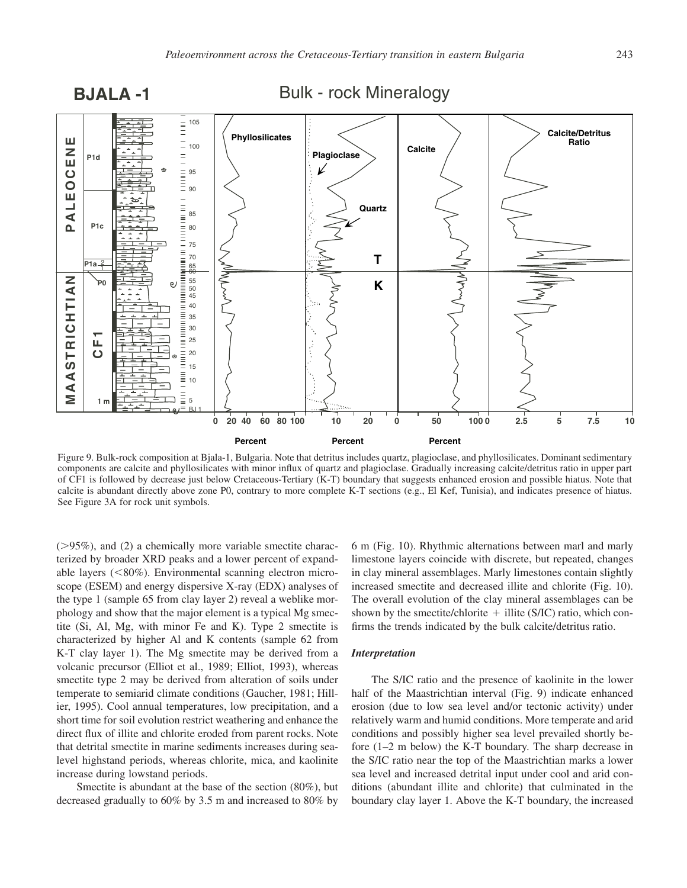





Figure 9. Bulk-rock composition at Bjala-1, Bulgaria. Note that detritus includes quartz, plagioclase, and phyllosilicates. Dominant sedimentary components are calcite and phyllosilicates with minor influx of quartz and plagioclase. Gradually increasing calcite/detritus ratio in upper part of CF1 is followed by decrease just below Cretaceous-Tertiary (K-T) boundary that suggests enhanced erosion and possible hiatus. Note that calcite is abundant directly above zone P0, contrary to more complete K-T sections (e.g., El Kef, Tunisia), and indicates presence of hiatus. See Figure 3A for rock unit symbols.

 $(>=95\%)$ , and (2) a chemically more variable smectite characterized by broader XRD peaks and a lower percent of expandable layers (<80%). Environmental scanning electron microscope (ESEM) and energy dispersive X-ray (EDX) analyses of the type 1 (sample 65 from clay layer 2) reveal a weblike morphology and show that the major element is a typical Mg smectite (Si, Al, Mg, with minor Fe and K). Type 2 smectite is characterized by higher Al and K contents (sample 62 from K-T clay layer 1). The Mg smectite may be derived from a volcanic precursor (Elliot et al., 1989; Elliot, 1993), whereas smectite type 2 may be derived from alteration of soils under temperate to semiarid climate conditions (Gaucher, 1981; Hillier, 1995). Cool annual temperatures, low precipitation, and a short time for soil evolution restrict weathering and enhance the direct flux of illite and chlorite eroded from parent rocks. Note that detrital smectite in marine sediments increases during sealevel highstand periods, whereas chlorite, mica, and kaolinite increase during lowstand periods.

Smectite is abundant at the base of the section (80%), but decreased gradually to 60% by 3.5 m and increased to 80% by

6 m (Fig. 10). Rhythmic alternations between marl and marly limestone layers coincide with discrete, but repeated, changes in clay mineral assemblages. Marly limestones contain slightly increased smectite and decreased illite and chlorite (Fig. 10). The overall evolution of the clay mineral assemblages can be shown by the smectite/chlorite  $+$  illite (S/IC) ratio, which confirms the trends indicated by the bulk calcite/detritus ratio.

## *Interpretation*

The S/IC ratio and the presence of kaolinite in the lower half of the Maastrichtian interval (Fig. 9) indicate enhanced erosion (due to low sea level and/or tectonic activity) under relatively warm and humid conditions. More temperate and arid conditions and possibly higher sea level prevailed shortly before (1–2 m below) the K-T boundary. The sharp decrease in the S/IC ratio near the top of the Maastrichtian marks a lower sea level and increased detrital input under cool and arid conditions (abundant illite and chlorite) that culminated in the boundary clay layer 1. Above the K-T boundary, the increased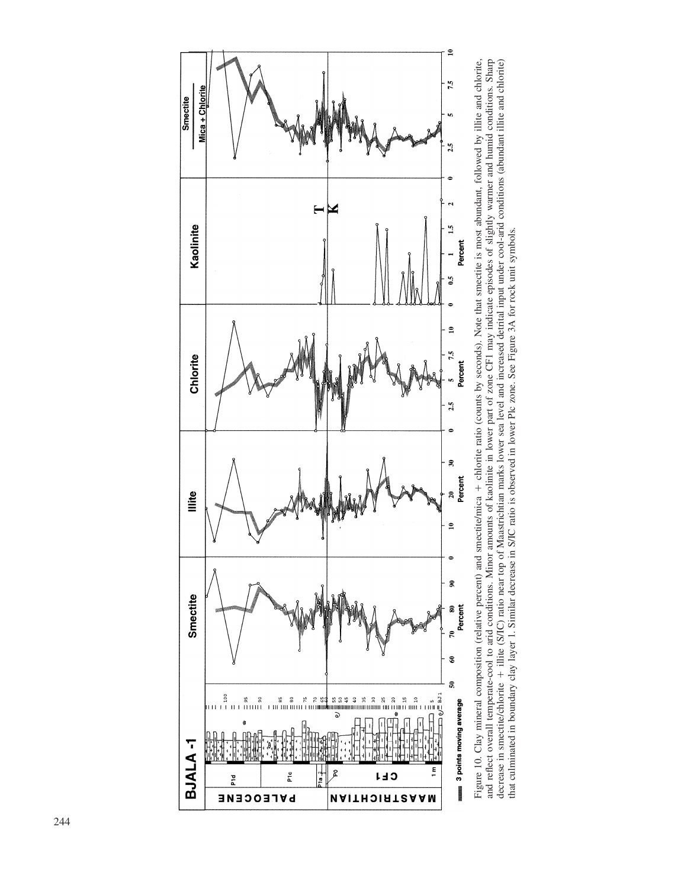

and reflect overall temperate-cool to and conditions. Minor amounts of kaolinite in lower part of zone CF1 may indicate episodes of slightly warmer and humid conditions. Sharp<br>decrease in smectite/chlorite + illite (S/IC) Figure 10. Clay mineral composition (relative percent) and smectite/mica + chlorite ratio (counts by seconds). Note that smectite is most abundant, followed by illite and chlorite, Figure 10. Clay mineral composition (relative percent) and smectite/mica chlorite ratio (counts by seconds). Note that smectite is most abundant, followed by illite and chlorite, and reflect overall temperate-cool to arid conditions. Minor amounts of kaolinite in lower part of zone CF1 may indicate episodes of slightly warmer and humid conditions. Sharp decrease in smectite/chlorite + illite (S/IC) ratio near top of Maastrichtian marks lower sea level and increased detrital input under cool-arid conditions (abundant illite and chlorite) that culminated in boundary clay layer 1. Similar decrease in S/IC ratio is observed in lower Plc zone. See Figure 3A for rock unit symbols.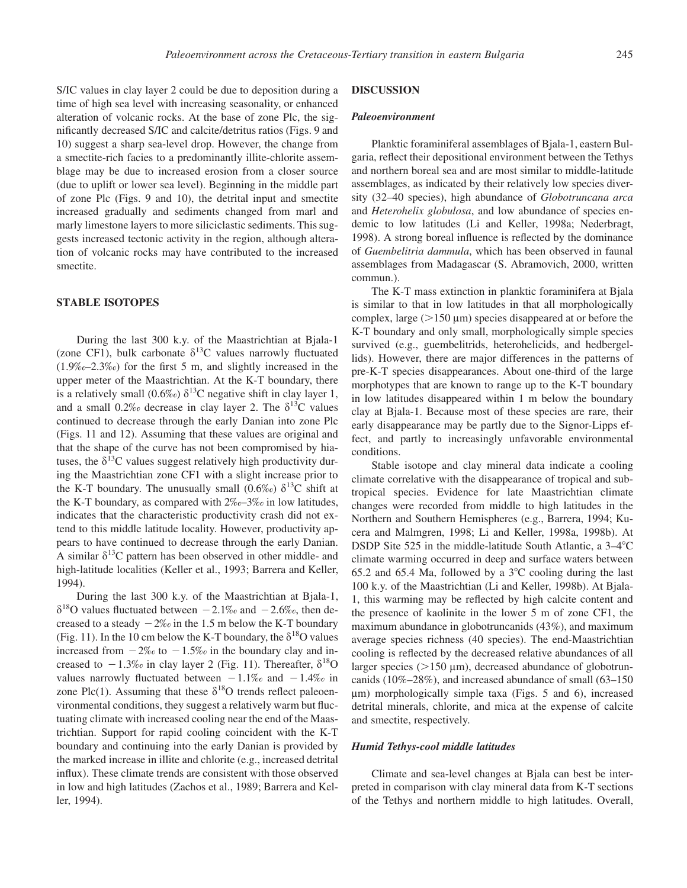S/IC values in clay layer 2 could be due to deposition during a time of high sea level with increasing seasonality, or enhanced alteration of volcanic rocks. At the base of zone Plc, the significantly decreased S/IC and calcite/detritus ratios (Figs. 9 and 10) suggest a sharp sea-level drop. However, the change from a smectite-rich facies to a predominantly illite-chlorite assemblage may be due to increased erosion from a closer source (due to uplift or lower sea level). Beginning in the middle part of zone Plc (Figs. 9 and 10), the detrital input and smectite increased gradually and sediments changed from marl and marly limestone layers to more siliciclastic sediments. This suggests increased tectonic activity in the region, although alteration of volcanic rocks may have contributed to the increased smectite.

# **STABLE ISOTOPES**

During the last 300 k.y. of the Maastrichtian at Bjala-1 (zone CF1), bulk carbonate  $\delta^{13}$ C values narrowly fluctuated (1.9‰–2.3‰) for the first 5 m, and slightly increased in the upper meter of the Maastrichtian. At the K-T boundary, there is a relatively small (0.6‰)  $\delta^{13}$ C negative shift in clay layer 1, and a small 0.2‰ decrease in clay layer 2. The  $\delta^{13}C$  values continued to decrease through the early Danian into zone Plc (Figs. 11 and 12). Assuming that these values are original and that the shape of the curve has not been compromised by hiatuses, the  $\delta^{13}$ C values suggest relatively high productivity during the Maastrichtian zone CF1 with a slight increase prior to the K-T boundary. The unusually small  $(0.6\%)$   $\delta^{13}C$  shift at the K-T boundary, as compared with 2‰–3‰ in low latitudes, indicates that the characteristic productivity crash did not extend to this middle latitude locality. However, productivity appears to have continued to decrease through the early Danian. A similar  $\delta^{13}C$  pattern has been observed in other middle- and high-latitude localities (Keller et al., 1993; Barrera and Keller, 1994).

During the last 300 k.y. of the Maastrichtian at Bjala-1,  $\delta^{18}$ O values fluctuated between  $-2.1\%$  and  $-2.6\%$ , then decreased to a steady  $-2\%$  in the 1.5 m below the K-T boundary (Fig. 11). In the 10 cm below the K-T boundary, the  $\delta^{18}O$  values increased from  $-2\%$  to  $-1.5\%$  in the boundary clay and increased to  $-1.3\%$  in clay layer 2 (Fig. 11). Thereafter,  $\delta^{18}O$ values narrowly fluctuated between  $-1.1\%$  and  $-1.4\%$  in zone Plc(1). Assuming that these  $\delta^{18}$ O trends reflect paleoenvironmental conditions, they suggest a relatively warm but fluctuating climate with increased cooling near the end of the Maastrichtian. Support for rapid cooling coincident with the K-T boundary and continuing into the early Danian is provided by the marked increase in illite and chlorite (e.g., increased detrital influx). These climate trends are consistent with those observed in low and high latitudes (Zachos et al., 1989; Barrera and Keller, 1994).

# **DISCUSSION**

#### *Paleoenvironment*

Planktic foraminiferal assemblages of Bjala-1, eastern Bulgaria, reflect their depositional environment between the Tethys and northern boreal sea and are most similar to middle-latitude assemblages, as indicated by their relatively low species diversity (32–40 species), high abundance of *Globotruncana arca* and *Heterohelix globulosa*, and low abundance of species endemic to low latitudes (Li and Keller, 1998a; Nederbragt, 1998). A strong boreal influence is reflected by the dominance of *Guembelitria dammula*, which has been observed in faunal assemblages from Madagascar (S. Abramovich, 2000, written commun.).

The K-T mass extinction in planktic foraminifera at Bjala is similar to that in low latitudes in that all morphologically complex, large  $(>150 \mu m)$  species disappeared at or before the K-T boundary and only small, morphologically simple species survived (e.g., guembelitrids, heterohelicids, and hedbergellids). However, there are major differences in the patterns of pre-K-T species disappearances. About one-third of the large morphotypes that are known to range up to the K-T boundary in low latitudes disappeared within 1 m below the boundary clay at Bjala-1. Because most of these species are rare, their early disappearance may be partly due to the Signor-Lipps effect, and partly to increasingly unfavorable environmental conditions.

Stable isotope and clay mineral data indicate a cooling climate correlative with the disappearance of tropical and subtropical species. Evidence for late Maastrichtian climate changes were recorded from middle to high latitudes in the Northern and Southern Hemispheres (e.g., Barrera, 1994; Kucera and Malmgren, 1998; Li and Keller, 1998a, 1998b). At DSDP Site 525 in the middle-latitude South Atlantic, a 3–4<sup>o</sup>C climate warming occurred in deep and surface waters between 65.2 and 65.4 Ma, followed by a  $3^{\circ}$ C cooling during the last 100 k.y. of the Maastrichtian (Li and Keller, 1998b). At Bjala-1, this warming may be reflected by high calcite content and the presence of kaolinite in the lower 5 m of zone CF1, the maximum abundance in globotruncanids (43%), and maximum average species richness (40 species). The end-Maastrichtian cooling is reflected by the decreased relative abundances of all larger species ( $>150 \mu m$ ), decreased abundance of globotruncanids (10%–28%), and increased abundance of small (63–150  $\mu$ m) morphologically simple taxa (Figs. 5 and 6), increased detrital minerals, chlorite, and mica at the expense of calcite and smectite, respectively.

#### *Humid Tethys-cool middle latitudes*

Climate and sea-level changes at Bjala can best be interpreted in comparison with clay mineral data from K-T sections of the Tethys and northern middle to high latitudes. Overall,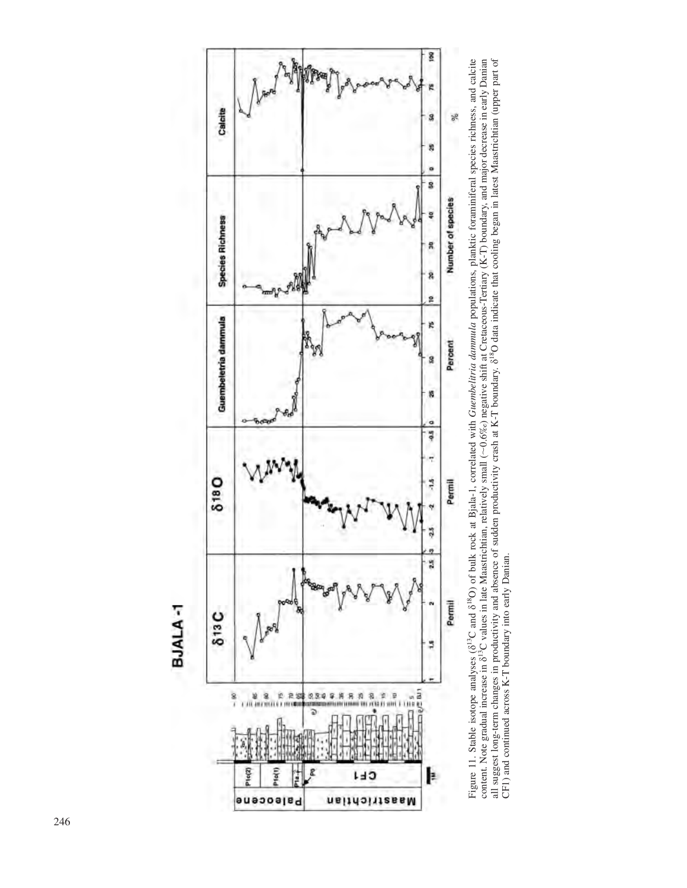



Figure 11. Stable isotope analyses (8<sup>13</sup>C and 8<sup>18</sup>O) of bulk rock at Bjala-1, correlated with *Guembelitria dammula* populations, planktic foraminiferal species richness, and calcite content. Note gradual increase in 8<sup>1</sup> Figure 11. Stable isotope analyses (d13C and d18O) of bulk rock at Bjala-1, correlated with *Guembelitria dammula* populations, planktic foraminiferal species richness, and calcite content. Note gradual increase in  $\delta^{13}$ C values in late Maastrichtian, relatively small (~0.6‰) negative shift at Cretaceous-Tertiary (K-T) boundary, and major decrease in early Danian all suggest long-term changes in productivity and absence of sudden productivity crash at K-T boundary. 8<sup>18</sup>O data indicate that cooling began in latest Maastrichtian (upper part of CF1) and continued across K-T boundary into early Danian. CF1) and continued across K-T boundary into early Danian.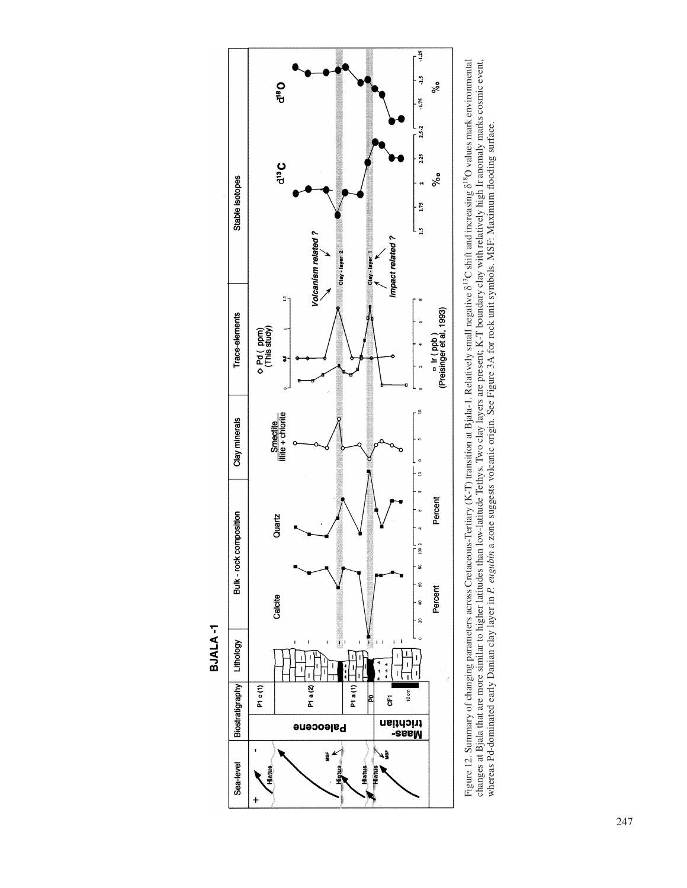

**BJALA-1** 

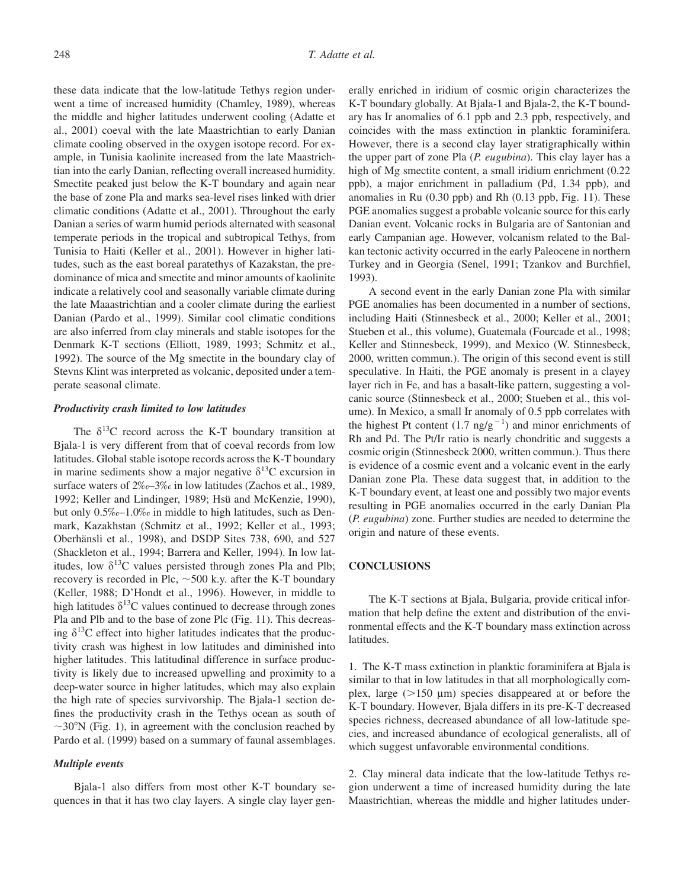these data indicate that the low-latitude Tethys region underwent a time of increased humidity (Chamley, 1989), whereas the middle and higher latitudes underwent cooling (Adatte et al., 2001) coeval with the late Maastrichtian to early Danian climate cooling observed in the oxygen isotope record. For example, in Tunisia kaolinite increased from the late Maastrichtian into the early Danian, reflecting overall increased humidity. Smectite peaked just below the K-T boundary and again near the base of zone Pla and marks sea-level rises linked with drier climatic conditions (Adatte et al., 2001). Throughout the early Danian a series of warm humid periods alternated with seasonal temperate periods in the tropical and subtropical Tethys, from Tunisia to Haiti (Keller et al., 2001). However in higher latitudes, such as the east boreal paratethys of Kazakstan, the predominance of mica and smectite and minor amounts of kaolinite indicate a relatively cool and seasonally variable climate during the late Maaastrichtian and a cooler climate during the earliest Danian (Pardo et al., 1999). Similar cool climatic conditions are also inferred from clay minerals and stable isotopes for the Denmark K-T sections (Elliott, 1989, 1993; Schmitz et al., 1992). The source of the Mg smectite in the boundary clay of Stevns Klint was interpreted as volcanic, deposited under a temperate seasonal climate.

# *Productivity crash limited to low latitudes*

The  $\delta^{13}$ C record across the K-T boundary transition at Bjala-1 is very different from that of coeval records from low latitudes. Global stable isotope records across the K-T boundary in marine sediments show a major negative  $\delta^{13}$ C excursion in surface waters of 2‰–3‰ in low latitudes (Zachos et al., 1989, 1992; Keller and Lindinger, 1989; Hsü and McKenzie, 1990), but only 0.5‰–1.0‰ in middle to high latitudes, such as Denmark, Kazakhstan (Schmitz et al., 1992; Keller et al., 1993; Oberhänsli et al., 1998), and DSDP Sites 738, 690, and 527 (Shackleton et al., 1994; Barrera and Keller, 1994). In low latitudes, low  $\delta^{13}$ C values persisted through zones Pla and Plb; recovery is recorded in Plc,  $\sim$  500 k.y. after the K-T boundary (Keller, 1988; D'Hondt et al., 1996). However, in middle to high latitudes  $\delta^{13}$ C values continued to decrease through zones Pla and Plb and to the base of zone Plc (Fig. 11). This decreasing  $\delta^{13}$ C effect into higher latitudes indicates that the productivity crash was highest in low latitudes and diminished into higher latitudes. This latitudinal difference in surface productivity is likely due to increased upwelling and proximity to a deep-water source in higher latitudes, which may also explain the high rate of species survivorship. The Bjala-1 section defines the productivity crash in the Tethys ocean as south of  $\sim$ 30°N (Fig. 1), in agreement with the conclusion reached by Pardo et al. (1999) based on a summary of faunal assemblages.

## *Multiple events*

Bjala-1 also differs from most other K-T boundary sequences in that it has two clay layers. A single clay layer generally enriched in iridium of cosmic origin characterizes the K-T boundary globally. At Bjala-1 and Bjala-2, the K-T boundary has Ir anomalies of 6.1 ppb and 2.3 ppb, respectively, and coincides with the mass extinction in planktic foraminifera. However, there is a second clay layer stratigraphically within the upper part of zone Pla (*P. eugubina*). This clay layer has a high of Mg smectite content, a small iridium enrichment  $(0.22)$ ppb), a major enrichment in palladium (Pd, 1.34 ppb), and anomalies in Ru (0.30 ppb) and Rh (0.13 ppb, Fig. 11). These PGE anomalies suggest a probable volcanic source for this early Danian event. Volcanic rocks in Bulgaria are of Santonian and early Campanian age. However, volcanism related to the Balkan tectonic activity occurred in the early Paleocene in northern Turkey and in Georgia (Senel, 1991; Tzankov and Burchfiel, 1993).

A second event in the early Danian zone Pla with similar PGE anomalies has been documented in a number of sections, including Haiti (Stinnesbeck et al., 2000; Keller et al., 2001; Stueben et al., this volume), Guatemala (Fourcade et al., 1998; Keller and Stinnesbeck, 1999), and Mexico (W. Stinnesbeck, 2000, written commun.). The origin of this second event is still speculative. In Haiti, the PGE anomaly is present in a clayey layer rich in Fe, and has a basalt-like pattern, suggesting a volcanic source (Stinnesbeck et al., 2000; Stueben et al., this volume). In Mexico, a small Ir anomaly of 0.5 ppb correlates with the highest Pt content  $(1.7 \text{ ng/g}^{-1})$  and minor enrichments of Rh and Pd. The Pt/Ir ratio is nearly chondritic and suggests a cosmic origin (Stinnesbeck 2000, written commun.). Thus there is evidence of a cosmic event and a volcanic event in the early Danian zone Pla. These data suggest that, in addition to the K-T boundary event, at least one and possibly two major events resulting in PGE anomalies occurred in the early Danian Pla (*P. eugubina*) zone. Further studies are needed to determine the origin and nature of these events.

# **CONCLUSIONS**

The K-T sections at Bjala, Bulgaria, provide critical information that help define the extent and distribution of the environmental effects and the K-T boundary mass extinction across latitudes.

1. The K-T mass extinction in planktic foraminifera at Bjala is similar to that in low latitudes in that all morphologically complex, large  $(>150 \mu m)$  species disappeared at or before the K-T boundary. However, Bjala differs in its pre-K-T decreased species richness, decreased abundance of all low-latitude species, and increased abundance of ecological generalists, all of which suggest unfavorable environmental conditions.

2. Clay mineral data indicate that the low-latitude Tethys region underwent a time of increased humidity during the late Maastrichtian, whereas the middle and higher latitudes under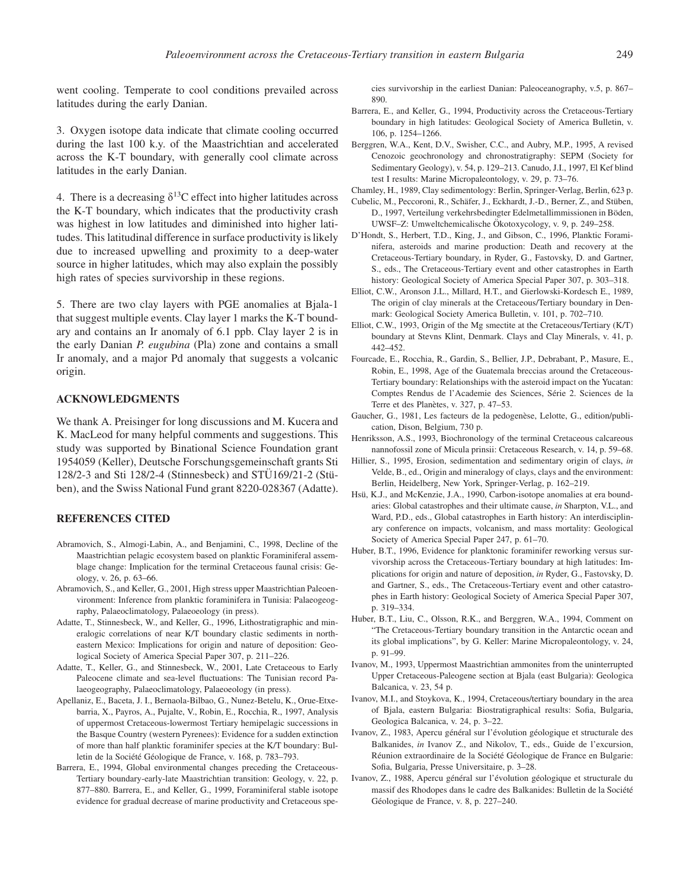went cooling. Temperate to cool conditions prevailed across latitudes during the early Danian.

3. Oxygen isotope data indicate that climate cooling occurred during the last 100 k.y. of the Maastrichtian and accelerated across the K-T boundary, with generally cool climate across latitudes in the early Danian.

4. There is a decreasing  $\delta^{13}$ C effect into higher latitudes across the K-T boundary, which indicates that the productivity crash was highest in low latitudes and diminished into higher latitudes. This latitudinal difference in surface productivity is likely due to increased upwelling and proximity to a deep-water source in higher latitudes, which may also explain the possibly high rates of species survivorship in these regions.

5. There are two clay layers with PGE anomalies at Bjala-1 that suggest multiple events. Clay layer 1 marks the K-T boundary and contains an Ir anomaly of 6.1 ppb. Clay layer 2 is in the early Danian *P. eugubina* (Pla) zone and contains a small Ir anomaly, and a major Pd anomaly that suggests a volcanic origin.

## **ACKNOWLEDGMENTS**

We thank A. Preisinger for long discussions and M. Kucera and K. MacLeod for many helpful comments and suggestions. This study was supported by Binational Science Foundation grant 1954059 (Keller), Deutsche Forschungsgemeinschaft grants Sti 128/2-3 and Sti 128/2-4 (Stinnesbeck) and  $STÜ169/21-2$  (Stüben), and the Swiss National Fund grant 8220-028367 (Adatte).

# **REFERENCES CITED**

- Abramovich, S., Almogi-Labin, A., and Benjamini, C., 1998, Decline of the Maastrichtian pelagic ecosystem based on planktic Foraminiferal assemblage change: Implication for the terminal Cretaceous faunal crisis: Geology, v. 26, p. 63–66.
- Abramovich, S., and Keller, G., 2001, High stress upper Maastrichtian Paleoenvironment: Inference from planktic foraminifera in Tunisia: Palaeogeography, Palaeoclimatology, Palaeoeology (in press).
- Adatte, T., Stinnesbeck, W., and Keller, G., 1996, Lithostratigraphic and mineralogic correlations of near K/T boundary clastic sediments in northeastern Mexico: Implications for origin and nature of deposition: Geological Society of America Special Paper 307, p. 211–226.
- Adatte, T., Keller, G., and Stinnesbeck, W., 2001, Late Cretaceous to Early Paleocene climate and sea-level fluctuations: The Tunisian record Palaeogeography, Palaeoclimatology, Palaeoeology (in press).
- Apellaniz, E., Baceta, J. I., Bernaola-Bilbao, G., Nunez-Betelu, K., Orue-Etxebarria, X., Payros, A., Pujalte, V., Robin, E., Rocchia, R., 1997, Analysis of uppermost Cretaceous-lowermost Tertiary hemipelagic successions in the Basque Country (western Pyrenees): Evidence for a sudden extinction of more than half planktic foraminifer species at the K/T boundary: Bulletin de la Société Géologique de France, v. 168, p. 783–793.
- Barrera, E., 1994, Global environmental changes preceding the Cretaceous-Tertiary boundary-early-late Maastrichtian transition: Geology, v. 22, p. 877–880. Barrera, E., and Keller, G., 1999, Foraminiferal stable isotope evidence for gradual decrease of marine productivity and Cretaceous spe-

cies survivorship in the earliest Danian: Paleoceanography, v.5, p. 867– 890.

- Barrera, E., and Keller, G., 1994, Productivity across the Cretaceous-Tertiary boundary in high latitudes: Geological Society of America Bulletin, v. 106, p. 1254–1266.
- Berggren, W.A., Kent, D.V., Swisher, C.C., and Aubry, M.P., 1995, A revised Cenozoic geochronology and chronostratigraphy: SEPM (Society for Sedimentary Geology), v. 54, p. 129–213. Canudo, J.I., 1997, El Kef blind test I results: Marine Micropaleontology, v. 29, p. 73–76.
- Chamley, H., 1989, Clay sedimentology: Berlin, Springer-Verlag, Berlin, 623 p.
- Cubelic, M., Peccoroni, R., Schäfer, J., Eckhardt, J.-D., Berner, Z., and Stüben, D., 1997, Verteilung verkehrsbedingter Edelmetallimmissionen in Böden, UWSF–Z: Umweltchemicalische Ökotoxycology, v. 9, p. 249–258.
- D'Hondt, S., Herbert, T.D., King, J., and Gibson, C., 1996, Planktic Foraminifera, asteroids and marine production: Death and recovery at the Cretaceous-Tertiary boundary, in Ryder, G., Fastovsky, D. and Gartner, S., eds., The Cretaceous-Tertiary event and other catastrophes in Earth history: Geological Society of America Special Paper 307, p. 303–318.
- Elliot, C.W., Aronson J.L., Millard, H.T., and Gierlowski-Kordesch E., 1989, The origin of clay minerals at the Cretaceous/Tertiary boundary in Denmark: Geological Society America Bulletin, v. 101, p. 702–710.
- Elliot, C.W., 1993, Origin of the Mg smectite at the Cretaceous/Tertiary (K/T) boundary at Stevns Klint, Denmark. Clays and Clay Minerals, v. 41, p. 442–452.
- Fourcade, E., Rocchia, R., Gardin, S., Bellier, J.P., Debrabant, P., Masure, E., Robin, E., 1998, Age of the Guatemala breccias around the Cretaceous-Tertiary boundary: Relationships with the asteroid impact on the Yucatan: Comptes Rendus de l'Academie des Sciences, Série 2. Sciences de la Terre et des Planètes, v. 327, p. 47–53.
- Gaucher, G., 1981, Les facteurs de la pedogenèse, Lelotte, G., edition/publication, Dison, Belgium, 730 p.
- Henriksson, A.S., 1993, Biochronology of the terminal Cretaceous calcareous nannofossil zone of Micula prinsii: Cretaceous Research, v. 14, p. 59–68.
- Hillier, S., 1995, Erosion, sedimentation and sedimentary origin of clays, *in* Velde, B., ed., Origin and mineralogy of clays, clays and the environment: Berlin, Heidelberg, New York, Springer-Verlag, p. 162–219.
- Hsü, K.J., and McKenzie, J.A., 1990, Carbon-isotope anomalies at era boundaries: Global catastrophes and their ultimate cause, *in* Sharpton, V.L., and Ward, P.D., eds., Global catastrophes in Earth history: An interdisciplinary conference on impacts, volcanism, and mass mortality: Geological Society of America Special Paper 247, p. 61–70.
- Huber, B.T., 1996, Evidence for planktonic foraminifer reworking versus survivorship across the Cretaceous-Tertiary boundary at high latitudes: Implications for origin and nature of deposition, *in* Ryder, G., Fastovsky, D. and Gartner, S., eds., The Cretaceous-Tertiary event and other catastrophes in Earth history: Geological Society of America Special Paper 307, p. 319–334.
- Huber, B.T., Liu, C., Olsson, R.K., and Berggren, W.A., 1994, Comment on "The Cretaceous-Tertiary boundary transition in the Antarctic ocean and its global implications", by G. Keller: Marine Micropaleontology, v. 24, p. 91–99.
- Ivanov, M., 1993, Uppermost Maastrichtian ammonites from the uninterrupted Upper Cretaceous-Paleogene section at Bjala (east Bulgaria): Geologica Balcanica, v. 23, 54 p.
- Ivanov, M.I., and Stoykova, K., 1994, Cretaceous/tertiary boundary in the area of Bjala, eastern Bulgaria: Biostratigraphical results: Sofia, Bulgaria, Geologica Balcanica, v. 24, p. 3–22.
- Ivanov, Z., 1983, Apercu général sur l'évolution géologique et structurale des Balkanides, *in* Ivanov Z., and Nikolov, T., eds., Guide de l'excursion, Réunion extraordinaire de la Société Géologique de France en Bulgarie: Sofia, Bulgaria, Presse Universitaire, p. 3–28.
- Ivanov, Z., 1988, Apercu général sur l'évolution géologique et structurale du massif des Rhodopes dans le cadre des Balkanides: Bulletin de la Société Géologique de France, v. 8, p. 227–240.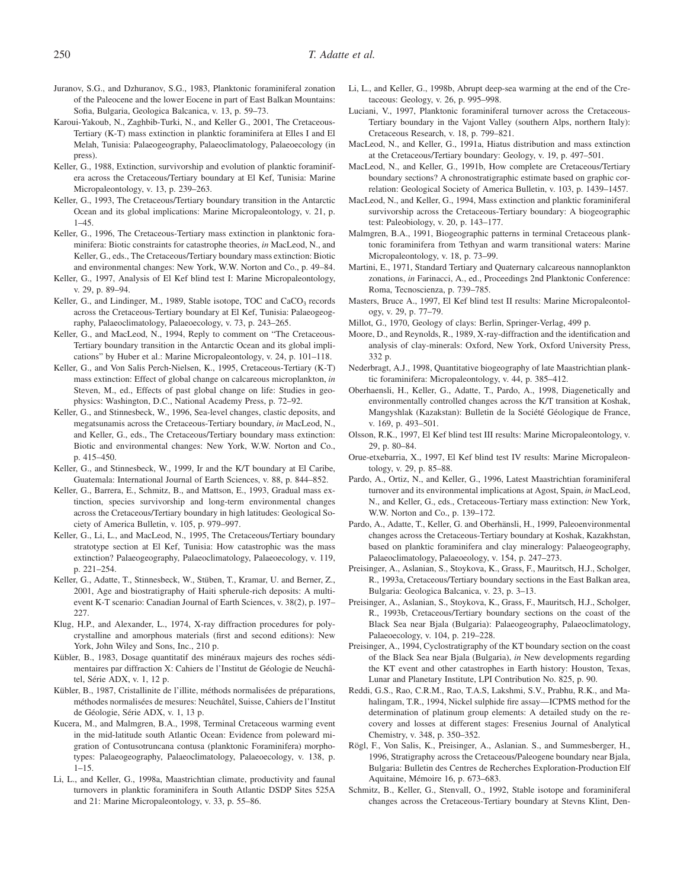Juranov, S.G., and Dzhuranov, S.G., 1983, Planktonic foraminiferal zonation of the Paleocene and the lower Eocene in part of East Balkan Mountains: Sofia, Bulgaria, Geologica Balcanica, v. 13, p. 59–73.

- Karoui-Yakoub, N., Zaghbib-Turki, N., and Keller G., 2001, The Cretaceous-Tertiary (K-T) mass extinction in planktic foraminifera at Elles I and El Melah, Tunisia: Palaeogeography, Palaeoclimatology, Palaeoecology (in press).
- Keller, G., 1988, Extinction, survivorship and evolution of planktic foraminifera across the Cretaceous/Tertiary boundary at El Kef, Tunisia: Marine Micropaleontology, v. 13, p. 239–263.
- Keller, G., 1993, The Cretaceous/Tertiary boundary transition in the Antarctic Ocean and its global implications: Marine Micropaleontology, v. 21, p. 1–45.
- Keller, G., 1996, The Cretaceous-Tertiary mass extinction in planktonic foraminifera: Biotic constraints for catastrophe theories, *in* MacLeod, N., and Keller, G., eds., The Cretaceous/Tertiary boundary mass extinction: Biotic and environmental changes: New York, W.W. Norton and Co., p. 49–84.
- Keller, G., 1997, Analysis of El Kef blind test I: Marine Micropaleontology, v. 29, p. 89–94.
- Keller, G., and Lindinger, M., 1989, Stable isotope, TOC and CaCO<sub>3</sub> records across the Cretaceous-Tertiary boundary at El Kef, Tunisia: Palaeogeography, Palaeoclimatology, Palaeoecology, v. 73, p. 243–265.
- Keller, G., and MacLeod, N., 1994, Reply to comment on "The Cretaceous-Tertiary boundary transition in the Antarctic Ocean and its global implications" by Huber et al.: Marine Micropaleontology, v. 24, p. 101–118.
- Keller, G., and Von Salis Perch-Nielsen, K., 1995, Cretaceous-Tertiary (K-T) mass extinction: Effect of global change on calcareous microplankton, *in* Steven, M., ed., Effects of past global change on life: Studies in geophysics: Washington, D.C., National Academy Press, p. 72–92.
- Keller, G., and Stinnesbeck, W., 1996, Sea-level changes, clastic deposits, and megatsunamis across the Cretaceous-Tertiary boundary, *in* MacLeod, N., and Keller, G., eds., The Cretaceous/Tertiary boundary mass extinction: Biotic and environmental changes: New York, W.W. Norton and Co., p. 415–450.
- Keller, G., and Stinnesbeck, W., 1999, Ir and the K/T boundary at El Caribe, Guatemala: International Journal of Earth Sciences, v. 88, p. 844–852.
- Keller, G., Barrera, E., Schmitz, B., and Mattson, E., 1993, Gradual mass extinction, species survivorship and long-term environmental changes across the Cretaceous/Tertiary boundary in high latitudes: Geological Society of America Bulletin, v. 105, p. 979–997.
- Keller, G., Li, L., and MacLeod, N., 1995, The Cretaceous/Tertiary boundary stratotype section at El Kef, Tunisia: How catastrophic was the mass extinction? Palaeogeography, Palaeoclimatology, Palaeoecology, v. 119, p. 221–254.
- Keller, G., Adatte, T., Stinnesbeck, W., Stüben, T., Kramar, U. and Berner, Z., 2001, Age and biostratigraphy of Haiti spherule-rich deposits: A multievent K-T scenario: Canadian Journal of Earth Sciences, v. 38(2), p. 197– 227.
- Klug, H.P., and Alexander, L., 1974, X-ray diffraction procedures for polycrystalline and amorphous materials (first and second editions): New York, John Wiley and Sons, Inc., 210 p.
- Kübler, B., 1983, Dosage quantitatif des minéraux majeurs des roches sédimentaires par diffraction X: Cahiers de l'Institut de Géologie de Neuchâtel, Série ADX, v. 1, 12 p.
- Kübler, B., 1987, Cristallinite de l'illite, méthods normalisées de préparations, méthodes normalisées de mesures: Neuchâtel, Suisse, Cahiers de l'Institut de Géologie, Série ADX, v. 1, 13 p.
- Kucera, M., and Malmgren, B.A., 1998, Terminal Cretaceous warming event in the mid-latitude south Atlantic Ocean: Evidence from poleward migration of Contusotruncana contusa (planktonic Foraminifera) morphotypes: Palaeogeography, Palaeoclimatology, Palaeoecology, v. 138, p.  $1 - 15$ .
- Li, L., and Keller, G., 1998a, Maastrichtian climate, productivity and faunal turnovers in planktic foraminifera in South Atlantic DSDP Sites 525A and 21: Marine Micropaleontology, v. 33, p. 55–86.
- Li, L., and Keller, G., 1998b, Abrupt deep-sea warming at the end of the Cretaceous: Geology, v. 26, p. 995–998.
- Luciani, V., 1997, Planktonic foraminiferal turnover across the Cretaceous-Tertiary boundary in the Vajont Valley (southern Alps, northern Italy): Cretaceous Research, v. 18, p. 799–821.
- MacLeod, N., and Keller, G., 1991a, Hiatus distribution and mass extinction at the Cretaceous/Tertiary boundary: Geology, v. 19, p. 497–501.
- MacLeod, N., and Keller, G., 1991b, How complete are Cretaceous/Tertiary boundary sections? A chronostratigraphic estimate based on graphic correlation: Geological Society of America Bulletin, v. 103, p. 1439–1457.
- MacLeod, N., and Keller, G., 1994, Mass extinction and planktic foraminiferal survivorship across the Cretaceous-Tertiary boundary: A biogeographic test: Paleobiology, v. 20, p. 143–177.
- Malmgren, B.A., 1991, Biogeographic patterns in terminal Cretaceous planktonic foraminifera from Tethyan and warm transitional waters: Marine Micropaleontology, v. 18, p. 73–99.
- Martini, E., 1971, Standard Tertiary and Quaternary calcareous nannoplankton zonations, *in* Farinacci, A., ed., Proceedings 2nd Planktonic Conference: Roma, Tecnoscienza, p. 739–785.
- Masters, Bruce A., 1997, El Kef blind test II results: Marine Micropaleontology, v. 29, p. 77–79.
- Millot, G., 1970, Geology of clays: Berlin, Springer-Verlag, 499 p.
- Moore, D., and Reynolds, R., 1989, X-ray-diffraction and the identification and analysis of clay-minerals: Oxford, New York, Oxford University Press, 332 p.
- Nederbragt, A.J., 1998, Quantitative biogeography of late Maastrichtian planktic foraminifera: Micropaleontology, v. 44, p. 385–412.
- Oberhaensli, H., Keller, G., Adatte, T., Pardo, A., 1998, Diagenetically and environmentally controlled changes across the K/T transition at Koshak, Mangyshlak (Kazakstan): Bulletin de la Société Géologique de France, v. 169, p. 493–501.
- Olsson, R.K., 1997, El Kef blind test III results: Marine Micropaleontology, v. 29, p. 80–84.
- Orue-etxebarria, X., 1997, El Kef blind test IV results: Marine Micropaleontology, v. 29, p. 85–88.
- Pardo, A., Ortiz, N., and Keller, G., 1996, Latest Maastrichtian foraminiferal turnover and its environmental implications at Agost, Spain, *in* MacLeod, N., and Keller, G., eds., Cretaceous-Tertiary mass extinction: New York, W.W. Norton and Co., p. 139–172.
- Pardo, A., Adatte, T., Keller, G. and Oberhänsli, H., 1999, Paleoenvironmental changes across the Cretaceous-Tertiary boundary at Koshak, Kazakhstan, based on planktic foraminifera and clay mineralogy: Palaeogeography, Palaeoclimatology, Palaeoeology, v. 154, p. 247–273.
- Preisinger, A., Aslanian, S., Stoykova, K., Grass, F., Mauritsch, H.J., Scholger, R., 1993a, Cretaceous/Tertiary boundary sections in the East Balkan area, Bulgaria: Geologica Balcanica, v. 23, p. 3–13.
- Preisinger, A., Aslanian, S., Stoykova, K., Grass, F., Mauritsch, H.J., Scholger, R., 1993b, Cretaceous/Tertiary boundary sections on the coast of the Black Sea near Bjala (Bulgaria): Palaeogeography, Palaeoclimatology, Palaeoecology, v. 104, p. 219–228.
- Preisinger, A., 1994, Cyclostratigraphy of the KT boundary section on the coast of the Black Sea near Bjala (Bulgaria), *in* New developments regarding the KT event and other catastrophes in Earth history: Houston, Texas, Lunar and Planetary Institute, LPI Contribution No. 825, p. 90.
- Reddi, G.S., Rao, C.R.M., Rao, T.A.S, Lakshmi, S.V., Prabhu, R.K., and Mahalingam, T.R., 1994, Nickel sulphide fire assay—ICPMS method for the determination of platinum group elements: A detailed study on the recovery and losses at different stages: Fresenius Journal of Analytical Chemistry, v. 348, p. 350–352.
- Rögl, F., Von Salis, K., Preisinger, A., Aslanian. S., and Summesberger, H., 1996, Stratigraphy across the Cretaceous/Paleogene boundary near Bjala, Bulgaria: Bulletin des Centres de Recherches Exploration-Production Elf Aquitaine, Mémoire 16, p. 673-683.
- Schmitz, B., Keller, G., Stenvall, O., 1992, Stable isotope and foraminiferal changes across the Cretaceous-Tertiary boundary at Stevns Klint, Den-